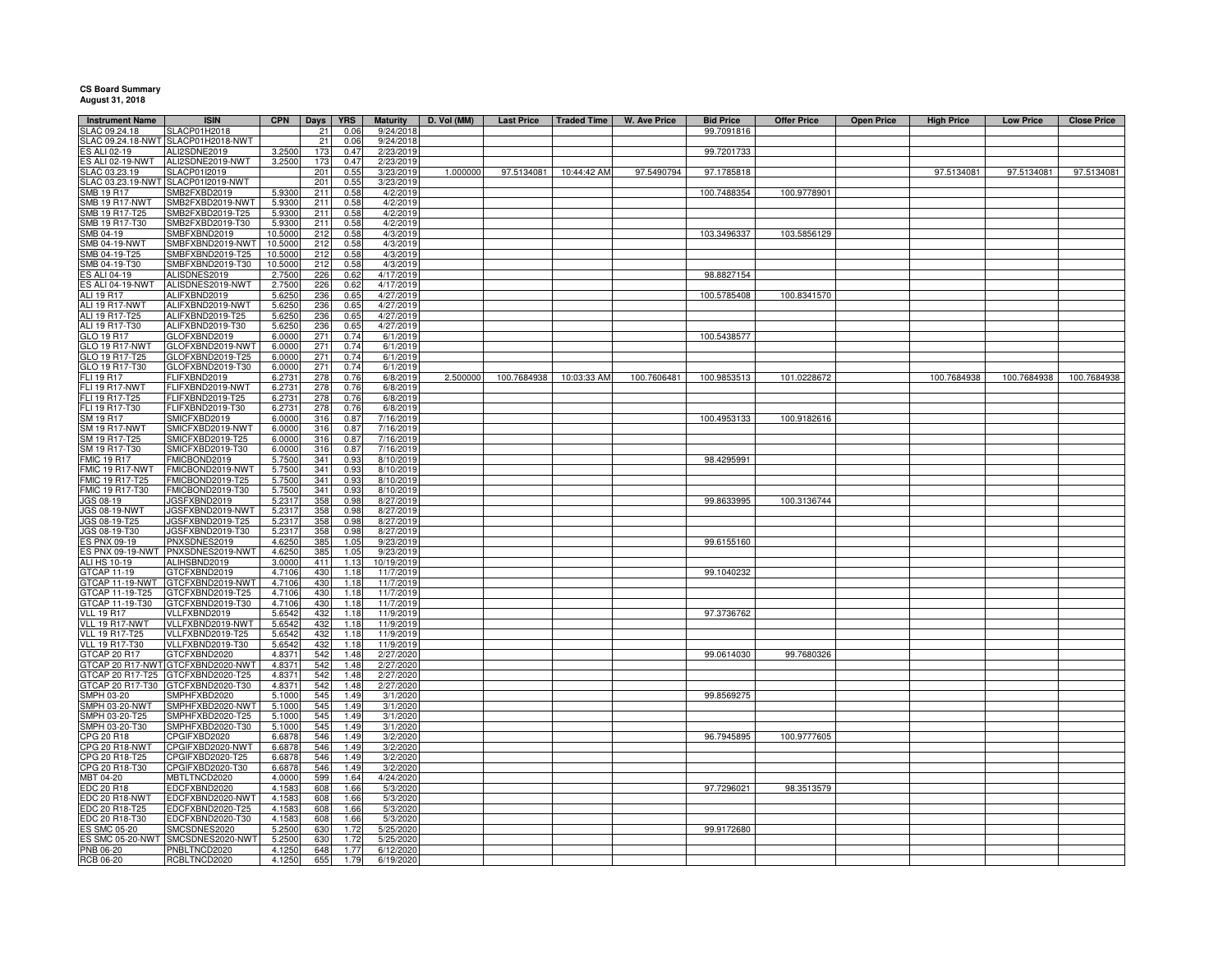## **CS Board Summary August 31, 2018**

 $\overline{a}$ 

| <b>Instrument Name</b>           | <b>ISIN</b>                          | <b>CPN</b>       | <b>Days</b> | <b>YRS</b>   | <b>Maturity</b>        | D. Vol (MM) | <b>Last Price</b>        | <b>Traded Time</b>     | W. Ave Price | <b>Bid Price</b> | <b>Offer Price</b> | <b>Open Price</b> | <b>High Price</b> | <b>Low Price</b> | <b>Close Price</b> |
|----------------------------------|--------------------------------------|------------------|-------------|--------------|------------------------|-------------|--------------------------|------------------------|--------------|------------------|--------------------|-------------------|-------------------|------------------|--------------------|
| SLAC 09.24.18                    | SLACP01H2018                         |                  | 21          | 0.06         | 9/24/2018              |             |                          |                        |              | 99.7091816       |                    |                   |                   |                  |                    |
|                                  | SLAC 09.24.18-NWT SLACP01H2018-NWT   |                  | 21          | 0.06         | 9/24/2018              |             |                          |                        |              |                  |                    |                   |                   |                  |                    |
| ES ALI 02-19                     | ALI2SDNE2019                         | 3.2500           | 173         | 0.47         | 2/23/2019              |             |                          |                        |              | 99.7201733       |                    |                   |                   |                  |                    |
| ES ALI 02-19-NWT                 | ALI2SDNE2019-NWT                     | 3.2500           | 173         | 0.47         | 2/23/2019              |             |                          |                        |              |                  |                    |                   |                   |                  |                    |
| SLAC 03.23.19                    | SLACP01I2019                         |                  | 201         | 0.55         | 3/23/2019              | 1.000000    |                          | 97.5134081 10:44:42 AM | 97.5490794   | 97.1785818       |                    |                   | 97.5134081        | 97.5134081       | 97.5134081         |
|                                  | SLAC 03.23.19-NWT SLACP01I2019-NWT   |                  | 201         | 0.55         | 3/23/2019              |             |                          |                        |              |                  |                    |                   |                   |                  |                    |
| SMB 19 R17                       | SMB2FXBD2019                         | 5.9300           | 211         | 0.58         | 4/2/2019               |             |                          |                        |              | 100.7488354      | 100.9778901        |                   |                   |                  |                    |
| SMB 19 R17-NWT                   | SMB2FXBD2019-NWT                     | 5.9300           | 211         | 0.58         | 4/2/2019               |             |                          |                        |              |                  |                    |                   |                   |                  |                    |
| SMB 19 R17-T25                   | SMB2FXBD2019-T25                     | 5.9300           | 211         | 0.58         | 4/2/2019               |             |                          |                        |              |                  |                    |                   |                   |                  |                    |
| SMB 19 R17-T30                   | SMB2FXBD2019-T30                     | 5.9300           | 211         | 0.58         | 4/2/2019               |             |                          |                        |              |                  |                    |                   |                   |                  |                    |
| SMB 04-19                        | SMBFXBND2019                         | 10.5000          | 212         | 0.58         | 4/3/2019               |             |                          |                        |              | 103.3496337      | 103.5856129        |                   |                   |                  |                    |
| <b>SMB 04-19-NWT</b>             | SMBFXBND2019-NWT                     | 10.5000          | 212         | 0.58         | 4/3/2019               |             |                          |                        |              |                  |                    |                   |                   |                  |                    |
| MB 04-19-T25                     | SMBFXBND2019-T25                     | 10.5000          | 212         | 0.58         | 4/3/2019               |             |                          |                        |              |                  |                    |                   |                   |                  |                    |
| MB 04-19-T30                     | SMBFXBND2019-T30                     | 10.5000          | 212         | 0.58         | 4/3/2019               |             |                          |                        |              |                  |                    |                   |                   |                  |                    |
| ES ALI 04-19<br>ES ALI 04-19-NWT | ALISDNES2019<br>ALISDNES2019-NWT     | 2.7500<br>2.7500 | 226<br>226  | 0.62         | 4/17/2019              |             |                          |                        |              | 98.8827154       |                    |                   |                   |                  |                    |
| <b>ALI 19 R17</b>                | ALIFXBND2019                         | 5.6250           | 236         | 0.62<br>0.65 | 4/17/2019<br>4/27/2019 |             |                          |                        |              | 100.5785408      | 100.8341570        |                   |                   |                  |                    |
| ALI 19 R17-NWT                   | ALIFXBND2019-NWT                     | 5.6250           | 236         | 0.65         | 4/27/2019              |             |                          |                        |              |                  |                    |                   |                   |                  |                    |
| ALI 19 R17-T25                   | ALIFXBND2019-T25                     | 5.6250           | 236         | 0.65         | 4/27/2019              |             |                          |                        |              |                  |                    |                   |                   |                  |                    |
| ALI 19 R17-T30                   | ALIFXBND2019-T30                     | 5.6250           | 236         | 0.65         | 4/27/2019              |             |                          |                        |              |                  |                    |                   |                   |                  |                    |
| GLO 19 R17                       | GLOFXBND2019                         | 6.0000           | 271         | 0.74         | 6/1/2019               |             |                          |                        |              | 100.5438577      |                    |                   |                   |                  |                    |
| GLO 19 R17-NWT                   | GLOFXBND2019-NWT                     | 6.0000           | 271         | 0.74         | 6/1/2019               |             |                          |                        |              |                  |                    |                   |                   |                  |                    |
| GLO 19 R17-T25                   | GLOFXBND2019-T25                     | 6.0000           | 271         | 0.74         | 6/1/2019               |             |                          |                        |              |                  |                    |                   |                   |                  |                    |
|                                  | GLOFXBND2019-T30                     | 6.0000           | 271         | 0.74         | 6/1/2019               |             |                          |                        |              |                  |                    |                   |                   |                  |                    |
| GLO 19 R17-T30<br>FLI 19 R17     | FLIFXBND2019                         | 6.273            | 278         | 0.76         | 6/8/2019               | 2.500000    | 100.7684938  10:03:33 AM |                        | 100.7606481  | 100.9853513      | 101.0228672        |                   | 100.7684938       | 100.7684938      | 100.7684938        |
| <b>FLI 19 R17-NWT</b>            | FLIFXBND2019-NWT                     | 6.273            | 278         | 0.76         | 6/8/2019               |             |                          |                        |              |                  |                    |                   |                   |                  |                    |
| FLI 19 R17-T25                   | FLIFXBND2019-T25                     | 6.2731           | 278         | 0.76         | 6/8/2019               |             |                          |                        |              |                  |                    |                   |                   |                  |                    |
| FLI 19 R17-T30                   | FLIFXBND2019-T30                     | 6.2731           | 278         | 0.76         | 6/8/2019               |             |                          |                        |              |                  |                    |                   |                   |                  |                    |
| SM 19 R17                        | SMICFXBD2019                         | 6.0000           | 316         | 0.87         | 7/16/2019              |             |                          |                        |              | 100.4953133      | 100.9182616        |                   |                   |                  |                    |
| <b>SM 19 R17-NWT</b>             | SMICFXBD2019-NWT                     | 6.0000           | 316         | 0.87         | 7/16/2019              |             |                          |                        |              |                  |                    |                   |                   |                  |                    |
| SM 19 R17-T25                    | SMICFXBD2019-T25                     | 6.0000           | 316         | 0.87         | 7/16/2019              |             |                          |                        |              |                  |                    |                   |                   |                  |                    |
| SM 19 R17-T30                    | SMICFXBD2019-T30                     | 6.0000           | 316         | 0.87         | 7/16/2019              |             |                          |                        |              |                  |                    |                   |                   |                  |                    |
| <b>FMIC 19 R17</b>               | FMICBOND2019                         | 5.7500           | 341         | 0.93         | 8/10/2019              |             |                          |                        |              | 98.4295991       |                    |                   |                   |                  |                    |
| FMIC 19 R17-NWT                  | FMICBOND2019-NWT                     | 5.7500           | 341         | 0.93         | 8/10/2019              |             |                          |                        |              |                  |                    |                   |                   |                  |                    |
| FMIC 19 R17-T25                  | FMICBOND2019-T25                     | 5.7500           | 341         | 0.93         | 8/10/2019              |             |                          |                        |              |                  |                    |                   |                   |                  |                    |
| FMIC 19 R17-T30                  | FMICBOND2019-T30                     | 5.7500           | 341         | 0.93         | 8/10/2019              |             |                          |                        |              |                  |                    |                   |                   |                  |                    |
| JGS 08-19                        | JGSFXBND2019                         | 5.2317           | 358         | 0.98         | 8/27/2019              |             |                          |                        |              | 99.8633995       | 100.3136744        |                   |                   |                  |                    |
| <b>JGS 08-19-NWT</b>             | JGSFXBND2019-NWT                     | 5.2317           | 358         | 0.98         | 8/27/2019              |             |                          |                        |              |                  |                    |                   |                   |                  |                    |
| JGS 08-19-T25                    | JGSFXBND2019-T25                     | 5.2317           | 358         | 0.98         | 8/27/2019              |             |                          |                        |              |                  |                    |                   |                   |                  |                    |
| JGS 08-19-T30<br>S PNX 09-19     | JGSFXBND2019-T30                     | 5.2317<br>4.6250 | 358<br>385  | 0.98<br>1.05 | 8/27/2019              |             |                          |                        |              |                  |                    |                   |                   |                  |                    |
| S PNX 09-19-NWT                  | PNXSDNES2019<br>PNXSDNES2019-NWT     | 4.6250           | 385         | 1.05         | 9/23/2019<br>9/23/2019 |             |                          |                        |              | 99.6155160       |                    |                   |                   |                  |                    |
| <b>ALI HS 10-19</b>              | ALIHSBND2019                         | 3.0000           | 411         | 1.13         | 10/19/2019             |             |                          |                        |              |                  |                    |                   |                   |                  |                    |
| GTCAP 11-19                      | GTCFXBND2019                         | 4.7106           | 430         | 1.18         | 11/7/2019              |             |                          |                        |              | 99.1040232       |                    |                   |                   |                  |                    |
| GTCAP 11-19-NWT                  | GTCFXBND2019-NWT                     | 4.7106           | 430         | 1.18         | 11/7/2019              |             |                          |                        |              |                  |                    |                   |                   |                  |                    |
| GTCAP 11-19-T25                  | GTCFXBND2019-T25                     | 4.7106           | 430         | 1.18         | 11/7/2019              |             |                          |                        |              |                  |                    |                   |                   |                  |                    |
| GTCAP 11-19-T30                  | GTCFXBND2019-T30                     | 4.7106           | 430         | 1.18         | 11/7/2019              |             |                          |                        |              |                  |                    |                   |                   |                  |                    |
| <b>VLL 19 R17</b>                | VLLFXBND2019                         | 5.6542           | 432         | 1.18         | 11/9/2019              |             |                          |                        |              | 97.3736762       |                    |                   |                   |                  |                    |
| VLL 19 R17-NWT                   | VLLFXBND2019-NWT                     | 5.6542           | 432         | 1.18         | 11/9/2019              |             |                          |                        |              |                  |                    |                   |                   |                  |                    |
| <b>VLL 19 R17-T25</b>            | VLLFXBND2019-T25                     | 5.6542           | 432         | 1.18         | 11/9/2019              |             |                          |                        |              |                  |                    |                   |                   |                  |                    |
| <b>VLL 19 R17-T30</b>            | VLLFXBND2019-T30                     | 5.6542           | 432         | 1.18         | 11/9/2019              |             |                          |                        |              |                  |                    |                   |                   |                  |                    |
| GTCAP 20 R17                     | GTCFXBND2020                         | 4.837            | 542         | 1.48         | 2/27/2020              |             |                          |                        |              | 99.0614030       | 99.7680326         |                   |                   |                  |                    |
| <b>STCAP 20 R17-NWT</b>          | GTCFXBND2020-NW                      | 4.837            | 542         | 1.48         | 2/27/2020              |             |                          |                        |              |                  |                    |                   |                   |                  |                    |
| TCAP 20 R17-T25                  | GTCFXBND2020-T25                     | 4.837            | 542         | 1.48         | 2/27/2020              |             |                          |                        |              |                  |                    |                   |                   |                  |                    |
| TCAP 20 R17-T30                  | GTCFXBND2020-T30                     | 4.837            | 542         | 1.48         | 2/27/2020              |             |                          |                        |              |                  |                    |                   |                   |                  |                    |
| MPH 03-20                        | SMPHFXBD2020                         | 5.1000           | 545         | 1.49         | 3/1/2020               |             |                          |                        |              | 99.8569275       |                    |                   |                   |                  |                    |
| MPH 03-20-NWT                    | SMPHFXBD2020-NWT                     | 5.1000           | 545         | 1.49         | 3/1/2020               |             |                          |                        |              |                  |                    |                   |                   |                  |                    |
| MPH 03-20-T25                    | SMPHFXBD2020-T25                     | 5.1000           | 545         | 1.49         | 3/1/2020               |             |                          |                        |              |                  |                    |                   |                   |                  |                    |
| SMPH 03-20-T30                   | SMPHFXBD2020-T30                     | 5.1000           | 545         | 1.49         | 3/1/2020               |             |                          |                        |              |                  |                    |                   |                   |                  |                    |
| CPG 20 R18                       | CPGIFXBD2020                         | 6.6878           | 546         | 1.49         | 3/2/2020               |             |                          |                        |              | 96.7945895       | 100.9777605        |                   |                   |                  |                    |
| PG 20 R18-NWT                    | CPGIFXBD2020-NWT                     | 6.687            | 546         | 1.49         | 3/2/2020               |             |                          |                        |              |                  |                    |                   |                   |                  |                    |
| PG 20 R18-T25:<br>CPG 20 R18-T30 | CPGIFXBD2020-T25<br>CPGIFXBD2020-T30 | 6.6878<br>6.6878 | 546<br>546  | 1.49<br>1.49 | 3/2/2020<br>3/2/2020   |             |                          |                        |              |                  |                    |                   |                   |                  |                    |
| MBT 04-20                        | MBTLTNCD2020                         | 4.0000           | 599         | 1.64         | 4/24/2020              |             |                          |                        |              |                  |                    |                   |                   |                  |                    |
| <b>EDC 20 R18</b>                | EDCFXBND2020                         | 4.1583           | 608         | 1.66         | 5/3/2020               |             |                          |                        |              | 97.7296021       | 98.3513579         |                   |                   |                  |                    |
| <b>EDC 20 R18-NWT</b>            | EDCFXBND2020-NWT                     | 4.158            | 608         | 1.66         | 5/3/2020               |             |                          |                        |              |                  |                    |                   |                   |                  |                    |
| EDC 20 R18-T25                   | EDCFXBND2020-T25                     | 4.1583           | 608         | 1.66         | 5/3/2020               |             |                          |                        |              |                  |                    |                   |                   |                  |                    |
| EDC 20 R18-T30                   | EDCFXBND2020-T30                     | 4.1583           | 608         | 1.66         | 5/3/2020               |             |                          |                        |              |                  |                    |                   |                   |                  |                    |
| <b>ES SMC 05-20</b>              | SMCSDNES2020                         | 5.2500           | 630         | 1.72         | 5/25/2020              |             |                          |                        |              | 99.9172680       |                    |                   |                   |                  |                    |
| ES SMC 05-20-NWT                 | SMCSDNES2020-NWT                     | 5.2500           | 630         | 1.72         | 5/25/2020              |             |                          |                        |              |                  |                    |                   |                   |                  |                    |
| PNB 06-20                        | PNBLTNCD2020                         | 4.1250           | 648         | 1.77         | 6/12/2020              |             |                          |                        |              |                  |                    |                   |                   |                  |                    |
| RCB 06-20                        | RCBLTNCD2020                         | 4.1250           | 655         | 1.79         | 6/19/2020              |             |                          |                        |              |                  |                    |                   |                   |                  |                    |
|                                  |                                      |                  |             |              |                        |             |                          |                        |              |                  |                    |                   |                   |                  |                    |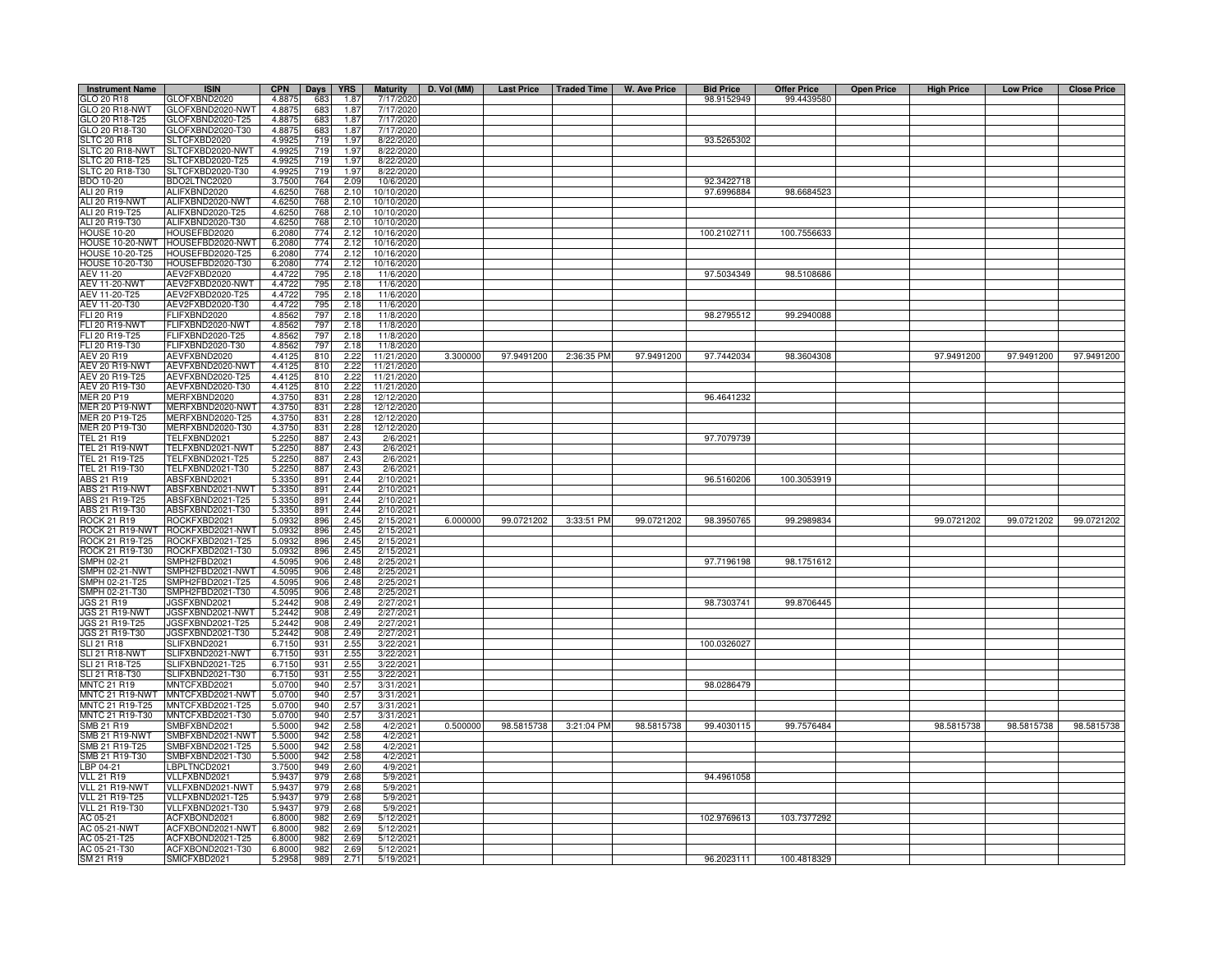| <b>Instrument Name</b> | <b>ISIN</b>                  | <b>CPN</b>       | Days       | <b>YRS</b>   | <b>Maturity</b> | D. Vol (MM) |            |            | Last Price   Traded Time   W. Ave Price | <b>Bid Price</b> | <b>Offer Price</b> | <b>Open Price</b> | <b>High Price</b> | <b>Low Price</b> | <b>Close Price</b> |
|------------------------|------------------------------|------------------|------------|--------------|-----------------|-------------|------------|------------|-----------------------------------------|------------------|--------------------|-------------------|-------------------|------------------|--------------------|
| GLO 20 R18             | GLOFXBND2020                 | 4.8875           | 683        | 1.87         | 7/17/2020       |             |            |            |                                         | 98.9152949       | 99.4439580         |                   |                   |                  |                    |
| GLO 20 R18-NWT         | GLOFXBND2020-NWT             | 4.8875           | 683        | 1.87         | 7/17/2020       |             |            |            |                                         |                  |                    |                   |                   |                  |                    |
| GLO 20 R18-T25         | GLOFXBND2020-T25             | 4.8875           | 683        | 1.87         | 7/17/2020       |             |            |            |                                         |                  |                    |                   |                   |                  |                    |
| GLO 20 R18-T30         | GLOFXBND2020-T30             | 4.8875           | 683        | 1.87         | 7/17/2020       |             |            |            |                                         |                  |                    |                   |                   |                  |                    |
| <b>SLTC 20 R18</b>     | SLTCFXBD2020                 | 4.9925           | 719        | 1.97         | 8/22/2020       |             |            |            |                                         | 93.5265302       |                    |                   |                   |                  |                    |
| SLTC 20 R18-NWT        | SLTCFXBD2020-NWT             | 4.9925           | 719        | 1.97         | 8/22/2020       |             |            |            |                                         |                  |                    |                   |                   |                  |                    |
| SLTC 20 R18-T25        | SLTCFXBD2020-T25             | 4.9925           | 719        | 1.97         | 8/22/2020       |             |            |            |                                         |                  |                    |                   |                   |                  |                    |
| SLTC 20 R18-T30        | SLTCFXBD2020-T30             | 4.9925           | 719        | 1.97         | 8/22/2020       |             |            |            |                                         |                  |                    |                   |                   |                  |                    |
| <b>BDO 10-20</b>       | BDO2LTNC2020                 | 3.7500           | 764        | 2.09         | 10/6/2020       |             |            |            |                                         | 92.3422718       |                    |                   |                   |                  |                    |
| ALI 20 R19             | ALIFXBND2020                 | 4.6250           | 768        | 2.10         | 10/10/2020      |             |            |            |                                         | 97.6996884       | 98.6684523         |                   |                   |                  |                    |
| ALI 20 R19-NWT         | ALIFXBND2020-NWT             | 4.6250           | 768        | 2.10         | 10/10/2020      |             |            |            |                                         |                  |                    |                   |                   |                  |                    |
| ALI 20 R19-T25         | ALIFXBND2020-T25             | 4.6250           | 768        | 2.10         | 10/10/2020      |             |            |            |                                         |                  |                    |                   |                   |                  |                    |
| ALI 20 R19-T30         | ALIFXBND2020-T30             | 4.6250           | 768        | 2.10         | 10/10/2020      |             |            |            |                                         |                  |                    |                   |                   |                  |                    |
| <b>HOUSE 10-20</b>     | HOUSEFBD2020                 | 6.2080           | 774        | 2.12         | 10/16/2020      |             |            |            |                                         | 100.2102711      | 100.7556633        |                   |                   |                  |                    |
| HOUSE 10-20-NWT        | HOUSEFBD2020-NWT             | 6.2080           | 774        | 2.12         | 10/16/2020      |             |            |            |                                         |                  |                    |                   |                   |                  |                    |
| HOUSE 10-20-T25        | OUSEFBD2020-T25              | 6.2080           | 774        | 2.12         | 10/16/2020      |             |            |            |                                         |                  |                    |                   |                   |                  |                    |
| HOUSE 10-20-T30        | HOUSEFBD2020-T30             | 6.2080           | 774        | 2.12         | 10/16/2020      |             |            |            |                                         |                  |                    |                   |                   |                  |                    |
| <b>AEV 11-20</b>       | AEV2FXBD2020                 | 4.4722           | 795        | 2.18         | 11/6/2020       |             |            |            |                                         | 97.5034349       | 98.5108686         |                   |                   |                  |                    |
| <b>AEV 11-20-NWT</b>   | AEV2FXBD2020-NWT             | 4.4722           | 795        | 2.18         | 11/6/2020       |             |            |            |                                         |                  |                    |                   |                   |                  |                    |
| AEV 11-20-T25          | AEV2FXBD2020-T25             | 4.4722           | 795        | 2.18         | 11/6/2020       |             |            |            |                                         |                  |                    |                   |                   |                  |                    |
| AEV 11-20-T30          | AEV2FXBD2020-T30             | 4.4722           | 795        | 2.18         | 11/6/2020       |             |            |            |                                         |                  |                    |                   |                   |                  |                    |
| FLI 20 R19             | <b>ELIFXBND2020</b>          | 4.8562           | 797        | 2.18         | 11/8/2020       |             |            |            |                                         | 98.2795512       | 99.2940088         |                   |                   |                  |                    |
| <b>FLI 20 R19-NWT</b>  | -LIFXBND2020-NWT             | 4.8562           | 797        | 2.18         | 11/8/2020       |             |            |            |                                         |                  |                    |                   |                   |                  |                    |
|                        |                              |                  |            | 2.18         |                 |             |            |            |                                         |                  |                    |                   |                   |                  |                    |
| FLI 20 R19-T25         | -LIFXBND2020-T25             | 4.8562           | 797        |              | 11/8/2020       |             |            |            |                                         |                  |                    |                   |                   |                  |                    |
| FLI 20 R19-T30         | FLIFXBND2020-T30             | 4.8562           | 797        | 2.18         | 11/8/2020       |             |            |            |                                         |                  |                    |                   |                   |                  |                    |
| AEV 20 R19             | AEVFXBND2020                 | 4.4125           | 810        | 2.22         | 11/21/2020      | 3.300000    | 97.9491200 | 2:36:35 PM | 97.9491200                              | 97.7442034       | 98.3604308         |                   | 97.9491200        | 97.9491200       | 97.9491200         |
| AEV 20 R19-NWT         | AEVFXBND2020-NWT             | 4.4125           | 810        | 2.22         | 11/21/2020      |             |            |            |                                         |                  |                    |                   |                   |                  |                    |
| AEV 20 R19-T25         | AEVFXBND2020-T25             | 4.4125           | 810        | 2.22         | 11/21/2020      |             |            |            |                                         |                  |                    |                   |                   |                  |                    |
| AEV 20 R19-T30         | AEVFXBND2020-T30             | 4.4125           | 810        | 2.22         | 11/21/2020      |             |            |            |                                         |                  |                    |                   |                   |                  |                    |
| <b>MER 20 P19</b>      | <b>MERFXBND2020</b>          | 4.3750           | 831        | 2.28         | 12/12/2020      |             |            |            |                                         | 96.4641232       |                    |                   |                   |                  |                    |
| MER 20 P19-NWT         | MERFXBND2020-NWT             | 4.3750           | 831        | 2.28         | 12/12/2020      |             |            |            |                                         |                  |                    |                   |                   |                  |                    |
| MER 20 P19-T25         | MERFXBND2020-T25             | 4.3750           | 831        | 2.28         | 12/12/2020      |             |            |            |                                         |                  |                    |                   |                   |                  |                    |
| MER 20 P19-T30         | MERFXBND2020-T30             | 4.3750           | 831        | 2.28         | 12/12/2020      |             |            |            |                                         |                  |                    |                   |                   |                  |                    |
| TEL 21 R19             | TELFXBND2021                 | 5.2250           | 887        | 2.43         | 2/6/202         |             |            |            |                                         | 97.7079739       |                    |                   |                   |                  |                    |
| TEL 21 R19-NWT         | TELFXBND2021-NWT             | 5.2250           | 887        | 2.43         | 2/6/202         |             |            |            |                                         |                  |                    |                   |                   |                  |                    |
| TEL 21 R19-T25         | FELFXBND2021-T25             | 5.2250           | 887        | 2.43         | 2/6/202         |             |            |            |                                         |                  |                    |                   |                   |                  |                    |
| TEL 21 R19-T30         | TELFXBND2021-T30             | 5.2250           | 887        | 2.43         | 2/6/202         |             |            |            |                                         |                  |                    |                   |                   |                  |                    |
| ABS 21 R19             | ABSFXBND2021                 | 5.3350           | 891        | 2.44         | 2/10/2021       |             |            |            |                                         | 96.5160206       | 100.3053919        |                   |                   |                  |                    |
| ABS 21 R19-NWT         | ABSFXBND2021-NWT             | 5.3350           | 891        | 2.44         | 2/10/2021       |             |            |            |                                         |                  |                    |                   |                   |                  |                    |
| ABS 21 R19-T25         | ABSFXBND2021-T25             | 5.3350           | 891        | 2.44         | 2/10/2021       |             |            |            |                                         |                  |                    |                   |                   |                  |                    |
| ABS 21 R19-T30         | ABSFXBND2021-T30             | 5.3350           | 891        | 2.44         | 2/10/2021       |             |            |            |                                         |                  |                    |                   |                   |                  |                    |
| ROCK 21 R19            | ROCKFXBD2021                 | 5.0932           | 896        | 2.45         | 2/15/2021       | 6.000000    | 99.0721202 | 3:33:51 PM | 99.0721202                              | 98.3950765       | 99.2989834         |                   | 99.0721202        | 99.0721202       | 99.0721202         |
| ROCK 21 R19-NWT        | ROCKFXBD2021-NWT             | 5.0932           | 896        | 2.45         | 2/15/2021       |             |            |            |                                         |                  |                    |                   |                   |                  |                    |
| ROCK 21 R19-T25        | ROCKFXBD2021-T25             | 5.093            | 896        | 2.45         | 2/15/202        |             |            |            |                                         |                  |                    |                   |                   |                  |                    |
| ROCK 21 R19-T30        | ROCKFXBD2021-T30             | 5.0932           | 896        | 2.45         | 2/15/202        |             |            |            |                                         |                  |                    |                   |                   |                  |                    |
| SMPH 02-21             | SMPH2FBD2021                 | 4.5095           | 906        | 2.48         | 2/25/2021       |             |            |            |                                         | 97.7196198       | 98.1751612         |                   |                   |                  |                    |
| SMPH 02-21-NWT         | SMPH2FBD2021-NWT             | 4.5095           | 906        | 248          | 2/25/202        |             |            |            |                                         |                  |                    |                   |                   |                  |                    |
| SMPH 02-21-T25         | SMPH2FBD2021-T25             | 4.5095           | 906        | 2.48         | 2/25/202        |             |            |            |                                         |                  |                    |                   |                   |                  |                    |
| SMPH 02-21-T30         | SMPH2FBD2021-T30             | 4.509            | 906        | 2.48         | 2/25/202        |             |            |            |                                         |                  |                    |                   |                   |                  |                    |
| JGS 21 R19             | JGSFXBND2021                 | 5.2442           | 908        | 2.49         | 2/27/202        |             |            |            |                                         | 98.7303741       | 99.8706445         |                   |                   |                  |                    |
| <b>JGS 21 R19-NWT</b>  | JGSFXBND2021-NWT             | 5.2442           | 908        | 2.49         | 2/27/202        |             |            |            |                                         |                  |                    |                   |                   |                  |                    |
| JGS 21 R19-T25         | JGSFXBND2021-T25             | 5.2442           | 908        | 2.49         | 2/27/202        |             |            |            |                                         |                  |                    |                   |                   |                  |                    |
| JGS 21 R19-T30         | JGSFXBND2021-T30             | 5.2442           | 908        | 2.49         | 2/27/2021       |             |            |            |                                         |                  |                    |                   |                   |                  |                    |
| SLI 21 R18             | SLIFXBND2021                 | 6.7150           | 931        | 2.55         | 3/22/202        |             |            |            |                                         | 100.0326027      |                    |                   |                   |                  |                    |
| <b>SLI 21 R18-NWT</b>  | SLIFXBND2021-NWT             | 6.7150           | 931        | 2.55         | 3/22/202        |             |            |            |                                         |                  |                    |                   |                   |                  |                    |
| SLI 21 R18-T25         | LIFXBND2021-T25              | 6.7150           | 931        | 2.55         | 3/22/202        |             |            |            |                                         |                  |                    |                   |                   |                  |                    |
| SLI 21 R18-T30         | SLIFXBND2021-T30             | 6.7150           | 931        | 2.55         | 3/22/2021       |             |            |            |                                         |                  |                    |                   |                   |                  |                    |
| <b>MNTC 21 R19</b>     | MNTCFXBD2021                 | 5.0700           | 940        | 2.57         | 3/31/202        |             |            |            |                                         | 98.0286479       |                    |                   |                   |                  |                    |
| MNTC 21 R19-NWT        | MNTCFXBD2021-NWT             | 5.0700           | 940        | 2.57         | 3/31/202        |             |            |            |                                         |                  |                    |                   |                   |                  |                    |
| MNTC 21 R19-T25        | MNTCFXBD2021-T25             | 5.0700           | 940        | 2.57         | 3/31/2021       |             |            |            |                                         |                  |                    |                   |                   |                  |                    |
| MNTC 21 R19-T30        | MNTCFXBD2021-T30             | 5.0700           | 940        | 2.57         | 3/31/2021       |             |            |            |                                         |                  |                    |                   |                   |                  |                    |
| SMB 21 R19             | SMBFXBND2021                 | 5.5000           | 942        | 2.58         | 4/2/2021        | 0.500000    | 98.5815738 | 3:21:04 PM | 98.5815738                              | 99.4030115       | 99.7576484         |                   | 98.5815738        | 98.5815738       | 98.5815738         |
| SMB 21 R19-NWT         | SMBFXBND2021-NWT             | 5.5000           | 942        | 2.58         | 4/2/2021        |             |            |            |                                         |                  |                    |                   |                   |                  |                    |
| SMB 21 R19-T25         | SMBFXBND2021-T25             | 5.5000           | 942        | 2.58         | 4/2/2021        |             |            |            |                                         |                  |                    |                   |                   |                  |                    |
| SMB 21 R19-T30         | SMBFXBND2021-T30             | 5.5000           | 942        | 2.58         | 4/2/2021        |             |            |            |                                         |                  |                    |                   |                   |                  |                    |
|                        |                              |                  |            |              |                 |             |            |            |                                         |                  |                    |                   |                   |                  |                    |
| LBP 04-21              | LBPLTNCD2021<br>VLLFXBND2021 | 3.7500           | 949        | 2.60         | 4/9/2021        |             |            |            |                                         |                  |                    |                   |                   |                  |                    |
| <b>VLL 21 R19</b>      |                              | 5.9437           | 979        | 2.68         | 5/9/2021        |             |            |            |                                         | 94.4961058       |                    |                   |                   |                  |                    |
| VLL 21 R19-NWT         | VLLFXBND2021-NWT             | 5.9437<br>5.9437 | 979<br>979 | 2.68<br>2.68 | 5/9/202         |             |            |            |                                         |                  |                    |                   |                   |                  |                    |
| <b>VLL 21 R19-T25</b>  | VLLFXBND2021-T25             |                  |            |              | 5/9/202         |             |            |            |                                         |                  |                    |                   |                   |                  |                    |
| <b>VLL 21 R19-T30</b>  | VLLFXBND2021-T30             | 5.9437           | 979        | 2.68         | 5/9/202         |             |            |            |                                         |                  |                    |                   |                   |                  |                    |
| AC 05-21               | ACFXBOND2021                 | 6.8000           | 982        | 2.69         | 5/12/202        |             |            |            |                                         | 102.9769613      | 103.7377292        |                   |                   |                  |                    |
| AC 05-21-NWT           | ACFXBOND2021-NWT             | 6.8000           | 982        | 2.69         | 5/12/2021       |             |            |            |                                         |                  |                    |                   |                   |                  |                    |
| AC 05-21-T25           | ACFXBOND2021-T25             | 6.8000           | 982        | 2.69         | 5/12/202        |             |            |            |                                         |                  |                    |                   |                   |                  |                    |
| AC 05-21-T30           | ACFXBOND2021-T30             | 6.8000           | 982        | 2.69         | 5/12/202        |             |            |            |                                         |                  |                    |                   |                   |                  |                    |
| SM 21 R19              | SMICFXBD2021                 | 5.2958           | 989        | 2.71         | 5/19/2021       |             |            |            |                                         | 96.2023111       | 100.4818329        |                   |                   |                  |                    |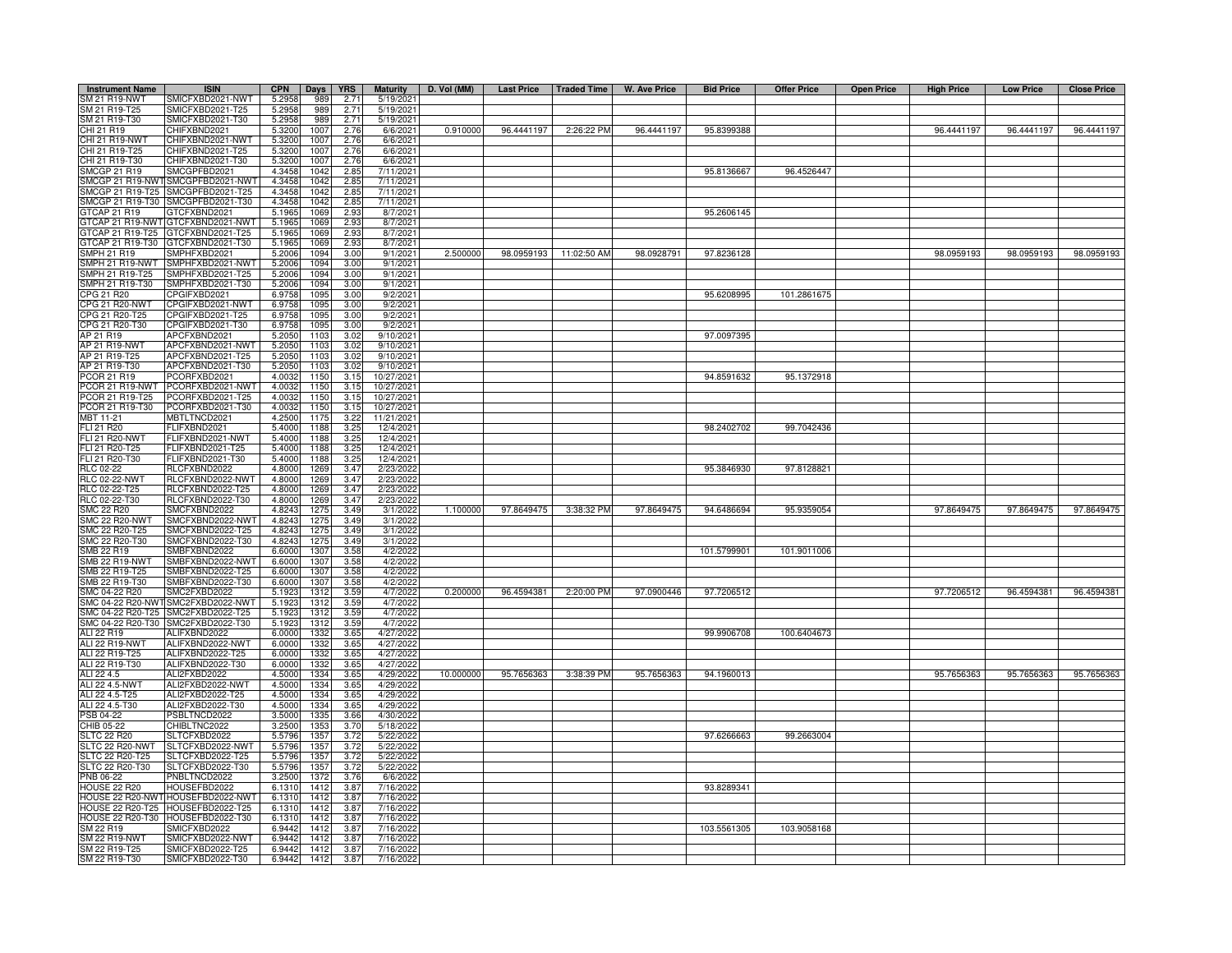| <b>Instrument Name</b>         | <b>ISIN</b>                          | <b>CPN</b>     | Days         | <b>YRS</b>   | <b>Maturity</b>     | D. Vol (MM) | <b>Last Price</b> | Traded Time            | W. Ave Price | <b>Bid Price</b> | <b>Offer Price</b> | <b>Open Price</b> | <b>High Price</b> | <b>Low Price</b> | <b>Close Price</b> |
|--------------------------------|--------------------------------------|----------------|--------------|--------------|---------------------|-------------|-------------------|------------------------|--------------|------------------|--------------------|-------------------|-------------------|------------------|--------------------|
| SM 21 R19-NWT                  | SMICFXBD2021-NWT                     | 5.295          | 989          | 2.71         | 5/19/202            |             |                   |                        |              |                  |                    |                   |                   |                  |                    |
| SM 21 R19-T25                  | SMICFXBD2021-T25                     | 5.295          | 989          | 2.71         | 5/19/2021           |             |                   |                        |              |                  |                    |                   |                   |                  |                    |
| SM 21 R19-T30                  | SMICFXBD2021-T30                     | 5.2958         | 989          | 2.71         | 5/19/2021           |             |                   |                        |              |                  |                    |                   |                   |                  |                    |
| CHI 21 R19                     | CHIFXBND2021                         | 5.3200         | 1007         | 2.76         | 6/6/2021            | 0.910000    | 96.4441197        | 2:26:22 PM             | 96.4441197   | 95.8399388       |                    |                   | 96.4441197        | 96.4441197       | 96.4441197         |
| CHI 21 R19-NWT                 | CHIFXBND2021-NWT                     | 5.3200         | 1007         | 2.76         | 6/6/2021            |             |                   |                        |              |                  |                    |                   |                   |                  |                    |
| CHI 21 R19-T25                 | CHIFXBND2021-T25                     | 5.3200         | 1007         | 2.76         | 6/6/2021            |             |                   |                        |              |                  |                    |                   |                   |                  |                    |
| CHI 21 R19-T30                 | CHIFXBND2021-T30                     | 5.3200         | 1007         | 2.76         | 6/6/2021            |             |                   |                        |              |                  |                    |                   |                   |                  |                    |
| <b>SMCGP 21 R19</b>            | SMCGPFBD2021                         | 4.3458         | 1042         | 2.85         | 7/11/2021           |             |                   |                        |              | 95.8136667       | 96.4526447         |                   |                   |                  |                    |
| SMCGP 21 R19-NWT               | SMCGPFBD2021-NWT                     | 4.3458         | 1042         | 2.85         | 7/11/2021           |             |                   |                        |              |                  |                    |                   |                   |                  |                    |
| SMCGP 21 R19-T25               | SMCGPFBD2021-T25                     | 4.3458         | 1042         | 2.85         | 7/11/2021           |             |                   |                        |              |                  |                    |                   |                   |                  |                    |
| SMCGP 21 R19-T30               | SMCGPFBD2021-T30                     | 4.3458         | 1042         | 2.85         | 7/11/2021           |             |                   |                        |              |                  |                    |                   |                   |                  |                    |
| GTCAP 21 R19                   | GTCFXBND2021                         | 5.1965         | 1069         | 2.93         | 8/7/2021            |             |                   |                        |              | 95.2606145       |                    |                   |                   |                  |                    |
| TCAP 21 R19-NWT                | GTCFXBND2021-NWT                     | 5.1965         | 1069         | 2.93         | 8/7/2021            |             |                   |                        |              |                  |                    |                   |                   |                  |                    |
| TCAP 21 R19-T25                | GTCFXBND2021-T25                     | 5.1965         | 1069         | 2.93         | 8/7/2021            |             |                   |                        |              |                  |                    |                   |                   |                  |                    |
| GTCAP 21 R19-T30               | GTCFXBND2021-T30                     | 5.1965         | 1069         | 2.93         | 8/7/2021            |             |                   |                        |              |                  |                    |                   |                   |                  |                    |
| SMPH 21 R19                    | SMPHFXBD2021                         | 5.2006         | 1094         | 3.00         | 9/1/2021            | 2.500000    |                   | 98.0959193 11:02:50 AM | 98.0928791   | 97.8236128       |                    |                   | 98.0959193        | 98.0959193       | 98.0959193         |
| MPH 21 R19-NWT                 | SMPHFXBD2021-NWT                     | 5.2006         | 1094         | 3.00         | 9/1/2021            |             |                   |                        |              |                  |                    |                   |                   |                  |                    |
| MPH 21 R19-T25                 | SMPHFXBD2021-T25                     | 5.2006         | 1094         | 3.00         | 9/1/2021            |             |                   |                        |              |                  |                    |                   |                   |                  |                    |
| SMPH 21 R19-T30                | SMPHFXBD2021-T30                     | 5.200          | 1094         | 3.00         | 9/1/2021            |             |                   |                        |              |                  |                    |                   |                   |                  |                    |
| <b>PG 21 R20</b>               | CPGIFXBD2021                         | 6.975          | 1095         | 3.00         | 9/2/2021            |             |                   |                        |              | 95.6208995       | 101.2861675        |                   |                   |                  |                    |
| CPG 21 R20-NWT                 | CPGIFXBD2021-NWT                     | 6.975          | 1095         | 3.00         | 9/2/2021            |             |                   |                        |              |                  |                    |                   |                   |                  |                    |
| PG 21 R20-T25                  | CPGIFXBD2021-T25                     | 6.975          | 1095         | 3.00         | 9/2/202             |             |                   |                        |              |                  |                    |                   |                   |                  |                    |
| CPG 21 R20-T30                 | CPGIFXBD2021-T30                     | 6.975          | 1095         | 3.00         | 9/2/202             |             |                   |                        |              |                  |                    |                   |                   |                  |                    |
| AP 21 R19                      | APCFXBND2021                         | 5.205          | 1103         | 3.02         | 9/10/2021           |             |                   |                        |              | 97.0097395       |                    |                   |                   |                  |                    |
| AP 21 R19-NWT                  | APCFXBND2021-NWT                     | 5.205          | 1103         | 3.02         | 9/10/2021           |             |                   |                        |              |                  |                    |                   |                   |                  |                    |
| AP 21 R19-T25                  | APCFXBND2021-T25                     | 5.2050         | 1103         | 3.02         | 9/10/2021           |             |                   |                        |              |                  |                    |                   |                   |                  |                    |
| AP 21 R19-T30                  | APCFXBND2021-T30                     | 5.205          | 1103         | 3.02         | 9/10/2021           |             |                   |                        |              |                  |                    |                   |                   |                  |                    |
| PCOR 21 R19                    | PCORFXBD2021                         | 4.0032         | 1150         | 3.15         | 10/27/2021          |             |                   |                        |              | 94.8591632       | 95.1372918         |                   |                   |                  |                    |
|                                | PCOR 21 R19-NWT PCORFXBD2021-NWT     | 4.003          | 1150         | 3.15         | 10/27/2021          |             |                   |                        |              |                  |                    |                   |                   |                  |                    |
| PCOR 21 R19-T25                | PCORFXBD2021-T25                     | 4.003          | 1150         | 3.15         | 10/27/2021          |             |                   |                        |              |                  |                    |                   |                   |                  |                    |
| PCOR 21 R19-T30                | PCORFXBD2021-T30                     | 4.003          | 1150         | 3.15         | 10/27/2021          |             |                   |                        |              |                  |                    |                   |                   |                  |                    |
| MBT 11-21                      | MBTLTNCD2021                         | 4.250          | 1175         | 3.22         | 11/21/2021          |             |                   |                        |              |                  |                    |                   |                   |                  |                    |
| FLI 21 R20                     | FLIFXBND2021                         | 5.4000         | 1188         | 3.25         | 12/4/2021           |             |                   |                        |              | 98.2402702       | 99.7042436         |                   |                   |                  |                    |
| <b>FLI 21 R20-NWT</b>          | FLIFXBND2021-NWT                     | 5.400          | 1188         | 3.25         | 12/4/2021           |             |                   |                        |              |                  |                    |                   |                   |                  |                    |
| FLI 21 R20-T25                 | ELIFXBND2021-T25                     | 5.400          | 1188         | 3.25         | 12/4/2021           |             |                   |                        |              |                  |                    |                   |                   |                  |                    |
| FLI 21 R20-T30                 | FLIFXBND2021-T30                     | 5.400          | 1188         | 3.25         | 12/4/2021           |             |                   |                        |              |                  |                    |                   |                   |                  |                    |
| <b>RLC 02-22</b>               | RLCFXBND2022                         | 4.800          | 1269         | 3.47         | 2/23/2022           |             |                   |                        |              | 95.3846930       | 97.8128821         |                   |                   |                  |                    |
| <b>RLC 02-22-NWT</b>           | RLCFXBND2022-NWT                     | 4.800          | 1269         | 3.47         | 2/23/2022           |             |                   |                        |              |                  |                    |                   |                   |                  |                    |
| RLC 02-22-T25                  | RLCFXBND2022-T25                     | 4.800          | 1269         | 3.47         | 2/23/202            |             |                   |                        |              |                  |                    |                   |                   |                  |                    |
| RLC 02-22-T30                  | RLCFXBND2022-T30                     | 4.8000         | 1269         | 3.47         | 2/23/2022           |             |                   |                        |              |                  |                    |                   |                   |                  |                    |
| <b>SMC 22 R20</b>              | SMCFXBND2022                         | 4.8243         | 1275         | 3.49         | 3/1/2022            | 1.100000    | 97.8649475        | 3:38:32 PM             | 97.8649475   | 94.6486694       | 95.9359054         |                   | 97.8649475        | 97.8649475       | 97.8649475         |
| SMC 22 R20-NWT                 | SMCFXBND2022-NWT                     | 4.824<br>4.824 | 1275         | 3.49<br>3.49 | 3/1/2022            |             |                   |                        |              |                  |                    |                   |                   |                  |                    |
| MC 22 R20-T25<br>MC 22 R20-T30 | SMCFXBND2022-T25<br>SMCFXBND2022-T30 | 4.824          | 1275         | 3.49         | 3/1/2022            |             |                   |                        |              |                  |                    |                   |                   |                  |                    |
| MB 22 R19                      | SMBFXBND2022                         | 6.600          | 1275<br>1307 | 3.58         | 3/1/202<br>4/2/2022 |             |                   |                        |              | 101.5799901      | 101.9011006        |                   |                   |                  |                    |
| MB 22 R19-NWT                  | SMBFXBND2022-NWT                     | 6.600          | 1307         | 3.58         | 4/2/2022            |             |                   |                        |              |                  |                    |                   |                   |                  |                    |
| MB 22 R19-T25                  | SMBFXBND2022-T25                     | 6.600          | 1307         | 3.58         | 4/2/2022            |             |                   |                        |              |                  |                    |                   |                   |                  |                    |
| SMB 22 R19-T30                 | SMBFXBND2022-T30                     | 6.600          | 1307         | 3.58         | 4/2/2022            |             |                   |                        |              |                  |                    |                   |                   |                  |                    |
| SMC 04-22 R20                  | SMC2FXBD2022                         | 5.192          | 1312         | 3.59         | 4/7/2022            | 0.200000    | 96.4594381        | 2:20:00 PM             | 97.0900446   | 97.7206512       |                    |                   | 97.7206512        | 96.4594381       | 96.4594381         |
| SMC 04-22 R20-NW               | SMC2FXBD2022-NWT                     | 5.192          | 1312         | 3.59         | 4/7/2022            |             |                   |                        |              |                  |                    |                   |                   |                  |                    |
| SMC 04-22 R20-T25              | SMC2FXBD2022-T25                     | 5.192          | 1312         | 3.59         | 4/7/2022            |             |                   |                        |              |                  |                    |                   |                   |                  |                    |
|                                | SMC 04-22 R20-T30 SMC2FXBD2022-T30   | 5.192          | 1312         | 3.59         | 4/7/2022            |             |                   |                        |              |                  |                    |                   |                   |                  |                    |
| ALI 22 R19                     | ALIFXBND2022                         | 6.0000         | 1332         | 3.65         | 4/27/2022           |             |                   |                        |              | 99.9906708       | 100.6404673        |                   |                   |                  |                    |
| ALI 22 R19-NWT                 | ALIFXBND2022-NWT                     | 6.0000         | 1332         | 3.65         | 4/27/2022           |             |                   |                        |              |                  |                    |                   |                   |                  |                    |
| ALI 22 R19-T25                 | ALIFXBND2022-T25                     | 6.0000         | 1332         | 3.65         | 4/27/2022           |             |                   |                        |              |                  |                    |                   |                   |                  |                    |
| ALI 22 R19-T30                 | ALIFXBND2022-T30                     | 6.0000         | 1332         | 3.65         | 4/27/2022           |             |                   |                        |              |                  |                    |                   |                   |                  |                    |
| ALI 22 4.5                     | ALI2FXBD2022                         | 4.5000         | 1334         | 3.65         | 4/29/202            | 10.000000   | 95.7656363        | 3:38:39 PM             | 95.7656363   | 94.1960013       |                    |                   | 95.7656363        | 95.7656363       | 95.7656363         |
| ALI 22 4.5-NWT                 | ALI2FXBD2022-NWT                     | 4.5000         | 1334         | 3.65         | 4/29/202            |             |                   |                        |              |                  |                    |                   |                   |                  |                    |
| ALI 22 4.5-T25                 | ALI2FXBD2022-T25                     | 4.5000         | 1334         | 3.65         | 4/29/2022           |             |                   |                        |              |                  |                    |                   |                   |                  |                    |
| ALI 22 4.5-T30                 | ALI2FXBD2022-T30                     | 4.5000         | 1334         | 3.65         | 4/29/2022           |             |                   |                        |              |                  |                    |                   |                   |                  |                    |
| PSB 04-22                      | PSBLTNCD2022                         | 3.5000         | 1335         | 3.66         | 4/30/2022           |             |                   |                        |              |                  |                    |                   |                   |                  |                    |
| CHIB 05-22                     | CHIBLTNC2022                         | 3.2500         | 1353         | 3.70         | 5/18/2022           |             |                   |                        |              |                  |                    |                   |                   |                  |                    |
| <b>SLTC 22 R20</b>             | SLTCFXBD2022                         | 5.5796         | 135          | 3.72         | 5/22/2022           |             |                   |                        |              | 97.6266663       | 99.2663004         |                   |                   |                  |                    |
| SLTC 22 R20-NWT                | SLTCFXBD2022-NWT                     | 5.5796         | 135          | 3.72         | 5/22/2022           |             |                   |                        |              |                  |                    |                   |                   |                  |                    |
| SLTC 22 R20-T25                | SLTCFXBD2022-T25                     | 5.5796         | 1357         | 3.72         | 5/22/2022           |             |                   |                        |              |                  |                    |                   |                   |                  |                    |
| SLTC 22 R20-T30                | SLTCFXBD2022-T30                     | 5.5796         | 1357         | 3.72         | 5/22/2022           |             |                   |                        |              |                  |                    |                   |                   |                  |                    |
| <b>PNB 06-22</b>               | PNBLTNCD2022                         | 3.2500         | 1372         | 3.76         | 6/6/2022            |             |                   |                        |              |                  |                    |                   |                   |                  |                    |
| <b>HOUSE 22 R20</b>            | HOUSEFBD2022                         | 6.1310         | 1412         | 3.87         | 7/16/2022           |             |                   |                        |              | 93.8289341       |                    |                   |                   |                  |                    |
|                                | HOUSE 22 R20-NWT HOUSEFBD2022-NWT    | 6.1310         | 1412         | 3.87         | 7/16/2022           |             |                   |                        |              |                  |                    |                   |                   |                  |                    |
|                                | HOUSE 22 R20-T25 HOUSEFBD2022-T25    | 6.1310         | 1412         | 3.87         | 7/16/2022           |             |                   |                        |              |                  |                    |                   |                   |                  |                    |
|                                | HOUSE 22 R20-T30 HOUSEFBD2022-T30    | 6.1310         | 1412         | 3.87         | 7/16/2022           |             |                   |                        |              |                  |                    |                   |                   |                  |                    |
| SM 22 R19                      | SMICFXBD2022                         | 6.9442         | 1412         | 3.8          | 7/16/2022           |             |                   |                        |              | 103.5561305      | 103.9058168        |                   |                   |                  |                    |
| SM 22 R19-NWT                  | SMICFXBD2022-NWT                     | 6.9442         | 1412         | 3.87         | 7/16/2022           |             |                   |                        |              |                  |                    |                   |                   |                  |                    |
| SM 22 R19-T25                  | SMICFXBD2022-T25                     | 6.9442         | 1412         | 3.87         | 7/16/2022           |             |                   |                        |              |                  |                    |                   |                   |                  |                    |
| SM 22 R19-T30                  | SMICFXBD2022-T30                     | 6.9442         | 1412         | 3.87         | 7/16/2022           |             |                   |                        |              |                  |                    |                   |                   |                  |                    |
|                                |                                      |                |              |              |                     |             |                   |                        |              |                  |                    |                   |                   |                  |                    |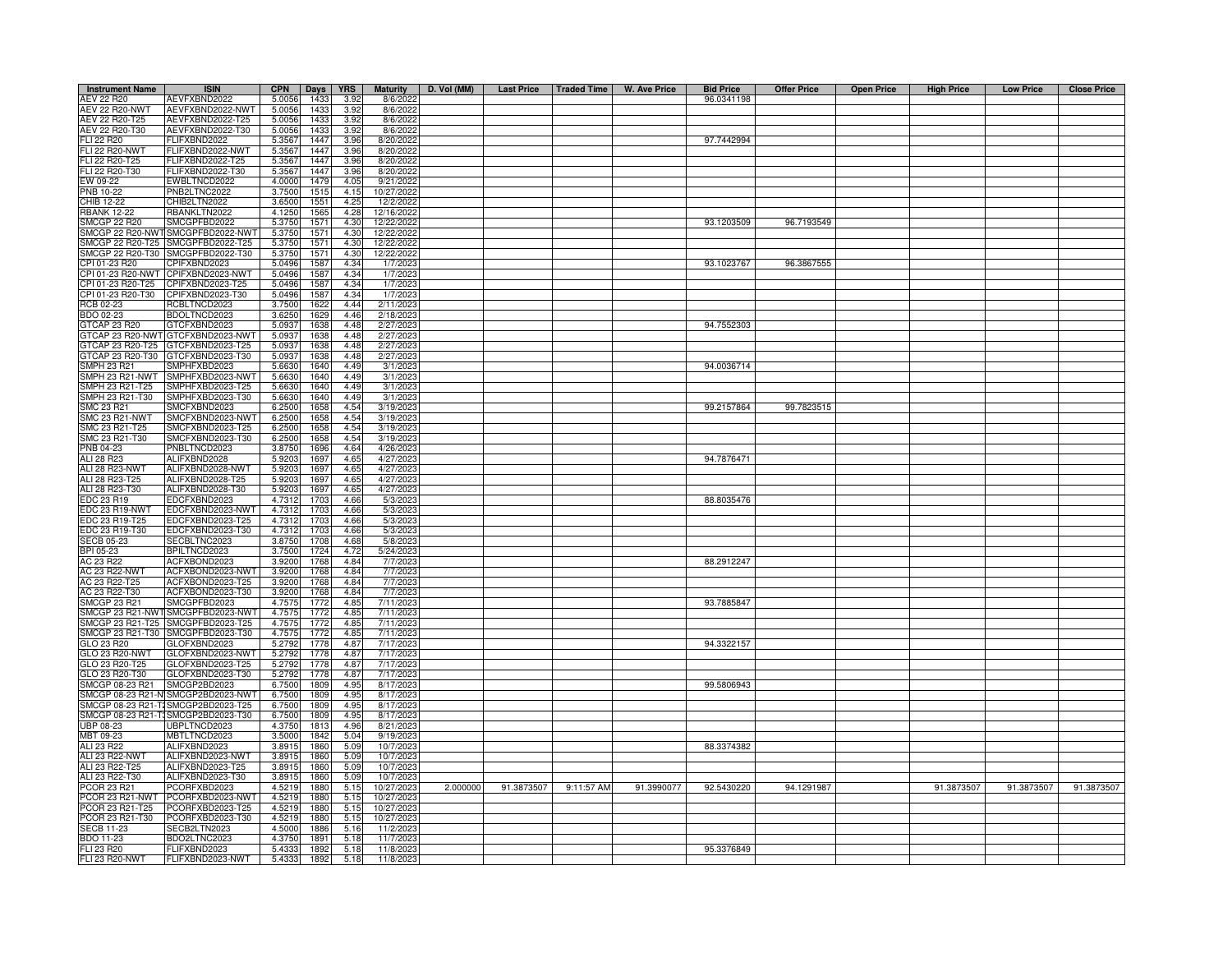| <b>Instrument Name</b> | <b>ISIN</b>                        | <b>CPN</b> | Days          | <b>YRS</b> | <b>Maturity</b> | D. Vol (MM) |            |            | Last Price   Traded Time   W. Ave Price | <b>Bid Price</b> | <b>Offer Price</b> | <b>Open Price</b> | <b>High Price</b> | <b>Low Price</b> | <b>Close Price</b> |
|------------------------|------------------------------------|------------|---------------|------------|-----------------|-------------|------------|------------|-----------------------------------------|------------------|--------------------|-------------------|-------------------|------------------|--------------------|
| AEV 22 R20             | AEVFXBND2022                       | 5.0056     | 1433          | 3.92       | 8/6/2022        |             |            |            |                                         | 96.0341198       |                    |                   |                   |                  |                    |
| <b>AEV 22 R20-NWT</b>  | AEVFXBND2022-NWT                   | 5.0056     | 1433          | 3.92       | 8/6/2022        |             |            |            |                                         |                  |                    |                   |                   |                  |                    |
| AEV 22 R20-T25         | AEVFXBND2022-T25                   | 5.0056     | 1433          | 3.92       | 8/6/2022        |             |            |            |                                         |                  |                    |                   |                   |                  |                    |
| AEV 22 R20-T30         | AEVFXBND2022-T30                   | 5.0056     | 1433          | 3.92       | 8/6/2022        |             |            |            |                                         |                  |                    |                   |                   |                  |                    |
| FLI 22 R20             | FLIFXBND2022                       | 5.3567     | 1447          | 3.96       | 8/20/2022       |             |            |            |                                         | 97.7442994       |                    |                   |                   |                  |                    |
| <b>FLI 22 R20-NWT</b>  | FLIFXBND2022-NWT                   | 5.3567     | 1447          | 3.96       | 8/20/2022       |             |            |            |                                         |                  |                    |                   |                   |                  |                    |
| FLI 22 R20-T25         | FLIFXBND2022-T25                   | 5.3567     | 1447          | 3.96       | 8/20/202        |             |            |            |                                         |                  |                    |                   |                   |                  |                    |
| FLI 22 R20-T30         | -LIFXBND2022-T30                   | 5.3567     | 1447          | 3.96       | 8/20/2022       |             |            |            |                                         |                  |                    |                   |                   |                  |                    |
| EW 09-22               | <b>EWBLTNCD2022</b>                | 4.0000     | 1479          | 4.05       | 9/21/202        |             |            |            |                                         |                  |                    |                   |                   |                  |                    |
| PNB 10-22              | PNB2LTNC2022                       | 3.7500     | 151           | 4.15       | 10/27/2022      |             |            |            |                                         |                  |                    |                   |                   |                  |                    |
| CHIB 12-22             | CHIB2LTN2022                       | 3.6500     | $155^{\circ}$ | 4.25       | 12/2/2022       |             |            |            |                                         |                  |                    |                   |                   |                  |                    |
| <b>RBANK 12-22</b>     | RBANKLTN2022                       | 4.1250     | 156           | 4.28       | 12/16/202       |             |            |            |                                         |                  |                    |                   |                   |                  |                    |
| SMCGP 22 R20           | SMCGPFBD2022                       | 5.3750     | 1571          | 4.30       | 12/22/2022      |             |            |            |                                         | 93.1203509       | 96.7193549         |                   |                   |                  |                    |
|                        | SMCGP 22 R20-NWT SMCGPFBD2022-NWT  | 5.3750     | 1571          | 4.30       | 12/22/2022      |             |            |            |                                         |                  |                    |                   |                   |                  |                    |
|                        | SMCGP 22 R20-T25 SMCGPFBD2022-T25  | 5.3750     | 1571          | 4.30       | 12/22/2022      |             |            |            |                                         |                  |                    |                   |                   |                  |                    |
|                        | SMCGP 22 R20-T30 SMCGPFBD2022-T30  | 5.3750     | 1571          | 4.30       | 12/22/2022      |             |            |            |                                         |                  |                    |                   |                   |                  |                    |
| CPI 01-23 R20          | CPIFXBND2023                       | 5.0496     | 158           | 4.34       | 1/7/202         |             |            |            |                                         | 93.1023767       | 96.3867555         |                   |                   |                  |                    |
| CPI 01-23 R20-NWT      | CPIFXBND2023-NWT                   | 5.0496     | 1587          | 4.34       | 1/7/202         |             |            |            |                                         |                  |                    |                   |                   |                  |                    |
| CPI 01-23 R20-T25      | PIFXBND2023-T25                    | 5.0496     | 1587          | 4.34       | 1/7/202         |             |            |            |                                         |                  |                    |                   |                   |                  |                    |
| CPI 01-23 R20-T30      | CPIFXBND2023-T30                   | 5.0496     | 1587          | 4.34       | 1/7/202         |             |            |            |                                         |                  |                    |                   |                   |                  |                    |
| RCB 02-23              | RCBLTNCD2023                       | 3.7500     | 1622          | 4.44       | 2/11/202        |             |            |            |                                         |                  |                    |                   |                   |                  |                    |
| BDO 02-23              | BDOLTNCD2023                       | 3.6250     | 1629          | 446        | 2/18/202        |             |            |            |                                         |                  |                    |                   |                   |                  |                    |
| GTCAP 23 R20           | GTCFXBND2023                       | 5.0937     | 1638          | 4.48       | 2/27/202        |             |            |            |                                         | 94.7552303       |                    |                   |                   |                  |                    |
| GTCAP 23 R20-NWT       | GTCFXBND2023-NWT                   | 5.0937     | 1638          | 4.48       | 2/27/202        |             |            |            |                                         |                  |                    |                   |                   |                  |                    |
| GTCAP 23 R20-T25       | GTCFXBND2023-T25                   | 5.0937     | 1638          | 4.48       | 2/27/202        |             |            |            |                                         |                  |                    |                   |                   |                  |                    |
| GTCAP 23 R20-T30       | GTCFXBND2023-T30                   | 5.0937     | 1638          | 4.48       | 2/27/202        |             |            |            |                                         |                  |                    |                   |                   |                  |                    |
| <b>SMPH 23 R21</b>     | SMPHFXBD2023                       | 5.6630     | 1640          | 4.49       | 3/1/202         |             |            |            |                                         | 94.0036714       |                    |                   |                   |                  |                    |
| SMPH 23 R21-NWT        | SMPHFXBD2023-NWT                   | 5.6630     | 1640          | 4.49       | 3/1/2023        |             |            |            |                                         |                  |                    |                   |                   |                  |                    |
| SMPH 23 R21-T25        | MPHFXBD2023-T25                    | 5.6630     | 1640          | 4.49       | 3/1/202         |             |            |            |                                         |                  |                    |                   |                   |                  |                    |
| SMPH 23 R21-T30        | MPHFXBD2023-T30                    | 5.6630     | 1640          | 4.49       | 3/1/202         |             |            |            |                                         |                  |                    |                   |                   |                  |                    |
| SMC 23 R21             | MCFXBND2023                        | 6.2500     | 1658          | 4.54       | 3/19/202        |             |            |            |                                         | 99.2157864       | 99.7823515         |                   |                   |                  |                    |
| SMC 23 R21-NWT         | MCFXBND2023-NWT                    | 6.2500     | 1658          | 4.54       | 3/19/202        |             |            |            |                                         |                  |                    |                   |                   |                  |                    |
| SMC 23 R21-T25         | SMCFXBND2023-T25                   | 6.2500     | 1658          | 4.54       | 3/19/202:       |             |            |            |                                         |                  |                    |                   |                   |                  |                    |
| SMC 23 R21-T30         | SMCFXBND2023-T30                   | 6.2500     |               | 4.54       | 3/19/202        |             |            |            |                                         |                  |                    |                   |                   |                  |                    |
| PNB 04-23              | PNBLTNCD2023                       |            | 1658<br>1696  |            | 4/26/202        |             |            |            |                                         |                  |                    |                   |                   |                  |                    |
|                        |                                    | 3.8750     |               | 4.64       |                 |             |            |            |                                         |                  |                    |                   |                   |                  |                    |
| ALI 28 R23             | ALIFXBND2028                       | 5.9203     | 169           | 4.65       | 4/27/202        |             |            |            |                                         | 94.7876471       |                    |                   |                   |                  |                    |
| ALI 28 R23-NWT         | ALIFXBND2028-NWT                   | 5.9203     | 1697          | 4.65       | 4/27/202        |             |            |            |                                         |                  |                    |                   |                   |                  |                    |
| ALI 28 R23-T25         | ALIFXBND2028-T25                   | 5.9203     | 1697          | 4.65       | 4/27/2023       |             |            |            |                                         |                  |                    |                   |                   |                  |                    |
| ALI 28 R23-T30         | ALIFXBND2028-T30                   | 5.9203     | 1697          | 4.65       | 4/27/202        |             |            |            |                                         |                  |                    |                   |                   |                  |                    |
| EDC 23 R19             | EDCFXBND2023                       | 4.7312     | 1703          | 4.66       | 5/3/2023        |             |            |            |                                         | 88.8035476       |                    |                   |                   |                  |                    |
| EDC 23 R19-NWT         | EDCFXBND2023-NWT                   | 4.7312     | 1703          | 4.66       | 5/3/2023        |             |            |            |                                         |                  |                    |                   |                   |                  |                    |
| EDC 23 R19-T25         | EDCFXBND2023-T25                   | 4.7312     | 1703          | 4.66       | 5/3/2023        |             |            |            |                                         |                  |                    |                   |                   |                  |                    |
| DC 23 R19-T30          | DCFXBND2023-T30                    | 4.7312     | 1703          | 4.66       | 5/3/2023        |             |            |            |                                         |                  |                    |                   |                   |                  |                    |
| ECB 05-23              | <b>SECBLTNC2023</b>                | 3.8750     | 1708          | 4.68       | 5/8/202         |             |            |            |                                         |                  |                    |                   |                   |                  |                    |
| BPI 05-23              | BPILTNCD2023                       | 3.7500     | 1724          | 4.72       | 5/24/2023       |             |            |            |                                         |                  |                    |                   |                   |                  |                    |
| AC 23 R22              | ACFXBOND2023                       | 3.9200     | 1768          | 4.84       | 7/7/2023        |             |            |            |                                         | 88.2912247       |                    |                   |                   |                  |                    |
| <b>AC 23 R22-NWT</b>   | ACFXBOND2023-NWT                   | 3.9200     | 1768          | 4.84       | 7/7/2023        |             |            |            |                                         |                  |                    |                   |                   |                  |                    |
| AC 23 R22-T25          | ACFXBOND2023-T25                   | 3.9200     | 1768          | 4.84       | 7/7/2023        |             |            |            |                                         |                  |                    |                   |                   |                  |                    |
| AC 23 R22-T30          | ACFXBOND2023-T30                   | 3.920      | 1768          | 4.84       | 7/7/202         |             |            |            |                                         |                  |                    |                   |                   |                  |                    |
| <b>SMCGP 23 R21</b>    | SMCGPFBD2023                       | 4.7575     | 1772          | 4.85       | 7/11/202        |             |            |            |                                         | 93.7885847       |                    |                   |                   |                  |                    |
| SMCGP 23 R21-NWT       | SMCGPFBD2023-NWT                   | 4.7575     | 1772          | 4.85       | 7/11/202        |             |            |            |                                         |                  |                    |                   |                   |                  |                    |
| SMCGP 23 R21-T25       | SMCGPFBD2023-T25                   | 4.7575     | 1772          | 4.85       | 7/11/202        |             |            |            |                                         |                  |                    |                   |                   |                  |                    |
| SMCGP 23 R21-T30       | SMCGPFBD2023-T30                   | 4.7575     | 1772          | 4.85       | 7/11/2023       |             |            |            |                                         |                  |                    |                   |                   |                  |                    |
| GLO 23 R20             | GLOFXBND2023                       | 5.2792     | 1778          | 4.87       | 7/17/202        |             |            |            |                                         | 94.3322157       |                    |                   |                   |                  |                    |
| GLO 23 R20-NWT         | GLOFXBND2023-NWT                   | 5.2792     | 1778          | 4.87       | 7/17/202        |             |            |            |                                         |                  |                    |                   |                   |                  |                    |
| GLO 23 R20-T25         | GLOFXBND2023-T25                   | 5.2792     | 1778          | 4.87       | 7/17/202        |             |            |            |                                         |                  |                    |                   |                   |                  |                    |
| GLO 23 R20-T30         | GLOFXBND2023-T30                   | 5.2792     | 1778          | 4.87       | 7/17/202        |             |            |            |                                         |                  |                    |                   |                   |                  |                    |
| SMCGP 08-23 R21        | SMCGP2BD2023                       | 6.7500     | 1809          | 4.95       | 8/17/202        |             |            |            |                                         | 99.5806943       |                    |                   |                   |                  |                    |
| SMCGP 08-23 R21-N      | SMCGP2BD2023-NWT                   | 6.7500     | 1809          | 4.95       | 8/17/202        |             |            |            |                                         |                  |                    |                   |                   |                  |                    |
|                        | SMCGP 08-23 R21-T1SMCGP2BD2023-T25 | 6.7500     | 1809          | 4.95       | 8/17/2023       |             |            |            |                                         |                  |                    |                   |                   |                  |                    |
|                        | SMCGP 08-23 R21-T3SMCGP2BD2023-T30 | 6.7500     | 1809          | 4.95       | 8/17/2023       |             |            |            |                                         |                  |                    |                   |                   |                  |                    |
| <b>UBP 08-23</b>       | <b>JBPLTNCD2023</b>                | 4.3750     | 1813          | 4.96       | 8/21/2023       |             |            |            |                                         |                  |                    |                   |                   |                  |                    |
| MBT 09-23              | MBTLTNCD2023                       | 3.5000     | 1842          | 5.04       | 9/19/2023       |             |            |            |                                         |                  |                    |                   |                   |                  |                    |
| ALI 23 R22             | ALIFXBND2023                       | 3.8915     | 1860          | 5.09       | 10/7/2023       |             |            |            |                                         | 88.3374382       |                    |                   |                   |                  |                    |
| ALI 23 R22-NWT         | ALIFXBND2023-NWT                   | 3.8915     | 1860          | 5.09       | 10/7/2023       |             |            |            |                                         |                  |                    |                   |                   |                  |                    |
| ALI 23 R22-T25         | ALIFXBND2023-T25                   | 3.8915     | 1860          | 5.09       | 10/7/2023       |             |            |            |                                         |                  |                    |                   |                   |                  |                    |
| ALI 23 R22-T30         | ALIFXBND2023-T30                   | 3.8915     | 1860          | 5.09       | 10/7/2023       |             |            |            |                                         |                  |                    |                   |                   |                  |                    |
| <b>PCOR 23 R21</b>     | PCORFXBD2023                       | 4.5219     | 1880          | 5.15       | 10/27/2023      | 2.000000    | 91.3873507 | 9:11:57 AM | 91.3990077                              | 92.5430220       | 94.1291987         |                   | 91.3873507        | 91.3873507       | 91.3873507         |
| PCOR 23 R21-NWT        | PCORFXBD2023-NWT                   | 4.5219     | 1880          | 5.15       | 10/27/2023      |             |            |            |                                         |                  |                    |                   |                   |                  |                    |
| COR 23 R21-T25         | PCORFXBD2023-T25                   | 4.5219     | 1880          | 5.15       | 10/27/202       |             |            |            |                                         |                  |                    |                   |                   |                  |                    |
| PCOR 23 R21-T30        | PCORFXBD2023-T30                   | 4.5219     | 1880          | 5.15       | 10/27/202       |             |            |            |                                         |                  |                    |                   |                   |                  |                    |
| <b>SECB 11-23</b>      | SECB2LTN2023                       | 4.5000     | 1886          | 5.16       | 11/2/202        |             |            |            |                                         |                  |                    |                   |                   |                  |                    |
| BDO 11-23              | BDO2LTNC2023                       | 4.3750     | 1891          | 5.18       | 11/7/202        |             |            |            |                                         |                  |                    |                   |                   |                  |                    |
| FLI 23 R20             | FLIFXBND2023                       | 5.4333     | 1892          | 5.18       | 11/8/202        |             |            |            |                                         | 95.3376849       |                    |                   |                   |                  |                    |
| FLI 23 R20-NWT         | FLIFXBND2023-NWT                   | 5.4333     | 1892          | 5.18       | 11/8/2023       |             |            |            |                                         |                  |                    |                   |                   |                  |                    |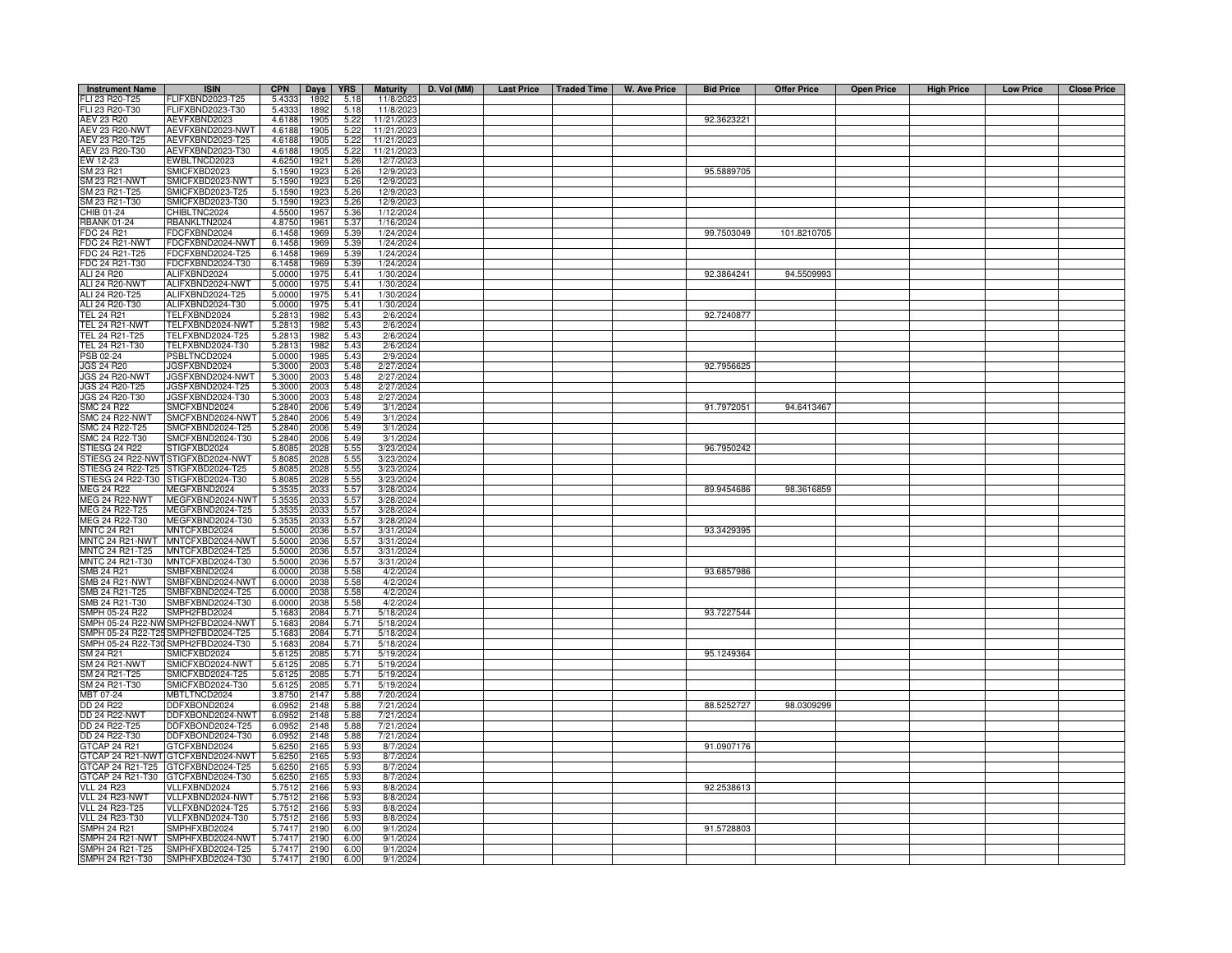| <b>Instrument Name</b>                  | <b>ISIN</b>                                       | <b>CPN</b>       | Days         | <b>YRS</b>   | <b>Maturity</b>        | D. Vol (MM) |  | Last Price   Traded Time   W. Ave Price | <b>Bid Price</b> | <b>Offer Price</b> | <b>Open Price</b> | <b>High Price</b> | <b>Low Price</b> | <b>Close Price</b> |
|-----------------------------------------|---------------------------------------------------|------------------|--------------|--------------|------------------------|-------------|--|-----------------------------------------|------------------|--------------------|-------------------|-------------------|------------------|--------------------|
| FLI 23 R20-T25                          | FLIFXBND2023-T25                                  | 5.4333           | 1892         | 5.18         | 11/8/2023              |             |  |                                         |                  |                    |                   |                   |                  |                    |
| FLI 23 R20-T30                          | FLIFXBND2023-T30                                  | 5.4333           | 1892         | 5.18         | 11/8/202               |             |  |                                         |                  |                    |                   |                   |                  |                    |
| AEV 23 R20                              | AEVFXBND2023                                      | 4.6188           | 1905         | 5.22         | 11/21/202              |             |  |                                         | 92.3623221       |                    |                   |                   |                  |                    |
| AEV 23 R20-NWT                          | AEVFXBND2023-NWT                                  | 4.6188           | 1905         | 5.22         | 11/21/202              |             |  |                                         |                  |                    |                   |                   |                  |                    |
| AEV 23 R20-T25                          | AEVFXBND2023-T25                                  | 4.6188           | 1905         | 5.22         | 11/21/202              |             |  |                                         |                  |                    |                   |                   |                  |                    |
| AEV 23 R20-T30<br>EW 12-23              | AEVFXBND2023-T30<br>EWBLTNCD2023                  | 4.6188<br>4.6250 | 1905<br>1921 | 5.22<br>5.26 | 11/21/202<br>12/7/202  |             |  |                                         |                  |                    |                   |                   |                  |                    |
| SM 23 R21                               | SMICFXBD2023                                      | 5.1590           | 1923         | 5.26         | 12/9/202               |             |  |                                         | 95.5889705       |                    |                   |                   |                  |                    |
| SM 23 R21-NWT                           | SMICFXBD2023-NWT                                  | 5.1590           | 1923         | 5.26         | 12/9/202               |             |  |                                         |                  |                    |                   |                   |                  |                    |
| SM 23 R21-T25                           | SMICFXBD2023-T25                                  | 5.1590           | 1923         | 5.26         | 12/9/202               |             |  |                                         |                  |                    |                   |                   |                  |                    |
| SM 23 R21-T30                           | SMICFXBD2023-T30                                  | 5.1590           | 1923         | 5.26         | 12/9/202               |             |  |                                         |                  |                    |                   |                   |                  |                    |
| CHIB 01-24                              | CHIBLTNC2024                                      | 4.5500           | 1957         | 5.36         | 1/12/2024              |             |  |                                         |                  |                    |                   |                   |                  |                    |
| <b>RBANK 01-24</b>                      | RBANKLTN2024                                      | 4.8750           | 1961         | 5.37         | 1/16/2024              |             |  |                                         |                  |                    |                   |                   |                  |                    |
| <b>FDC 24 R21</b>                       | FDCFXBND2024                                      | 6.1458           | 1969         | 5.39         | 1/24/2024              |             |  |                                         | 99.7503049       | 101.8210705        |                   |                   |                  |                    |
| <b>FDC 24 R21-NWT</b><br>FDC 24 R21-T25 | FDCFXBND2024-NWT<br>FDCFXBND2024-T25              | 6.1458<br>6.1458 | 1969<br>1969 | 5.39<br>5.39 | 1/24/2024<br>1/24/2024 |             |  |                                         |                  |                    |                   |                   |                  |                    |
| FDC 24 R21-T30                          | FDCFXBND2024-T30                                  | 6.1458           | 1969         | 5.39         | 1/24/2024              |             |  |                                         |                  |                    |                   |                   |                  |                    |
| ALI 24 R20                              | ALIFXBND2024                                      | 5.000            | 1975         | 5.41         | 1/30/2024              |             |  |                                         | 92.3864241       | 94.5509993         |                   |                   |                  |                    |
| <b>ALI 24 R20-NWT</b>                   | ALIFXBND2024-NWT                                  | 5.000            | 1975         | 5.41         | 1/30/2024              |             |  |                                         |                  |                    |                   |                   |                  |                    |
| ALI 24 R20-T25                          | ALIFXBND2024-T25                                  | 5.000            | 1975         | 5.41         | 1/30/2024              |             |  |                                         |                  |                    |                   |                   |                  |                    |
| ALI 24 R20-T30                          | ALIFXBND2024-T30                                  | 5.000            | 1975         | 5.41         | 1/30/2024              |             |  |                                         |                  |                    |                   |                   |                  |                    |
| <b>TEL 24 R21</b>                       | TELFXBND2024                                      | 5.281            | 1982         | 5.43         | 2/6/2024               |             |  |                                         | 92.7240877       |                    |                   |                   |                  |                    |
| TEL 24 R21-NWT                          | TELFXBND2024-NWT                                  | 5.2813           | 1982         | 5.43         | 2/6/2024               |             |  |                                         |                  |                    |                   |                   |                  |                    |
| TEL 24 R21-T25<br>TEL 24 R21-T30        | TELFXBND2024-T25<br>TELFXBND2024-T30              | 5.2813<br>5.2813 | 1982<br>1982 | 5.43<br>5.43 | 2/6/2024<br>2/6/2024   |             |  |                                         |                  |                    |                   |                   |                  |                    |
| PSB 02-24                               | PSBLTNCD2024                                      | 5.0000           | 1985         | 5.43         | 2/9/2024               |             |  |                                         |                  |                    |                   |                   |                  |                    |
| <b>JGS 24 R20</b>                       | JGSFXBND2024                                      | 5.3000           | 2003         | 5.48         | 2/27/2024              |             |  |                                         | 92.7956625       |                    |                   |                   |                  |                    |
| <b>JGS 24 R20-NWT</b>                   | JGSFXBND2024-NWT                                  | 5.3000           | 2003         | 5.48         | 2/27/2024              |             |  |                                         |                  |                    |                   |                   |                  |                    |
| JGS 24 R20-T25                          | JGSFXBND2024-T25                                  | 5.3000           | 2003         | 5.48         | 2/27/2024              |             |  |                                         |                  |                    |                   |                   |                  |                    |
| JGS 24 R20-T30                          | JGSFXBND2024-T30                                  | 5.3000           | 2003         | 5.48         | 2/27/2024              |             |  |                                         |                  |                    |                   |                   |                  |                    |
| <b>SMC 24 R22</b>                       | SMCFXBND2024                                      | 5.2840           | 2006         | 5.49         | 3/1/2024               |             |  |                                         | 91.7972051       | 94.6413467         |                   |                   |                  |                    |
| SMC 24 R22-NWT                          | SMCFXBND2024-NWT                                  | 5.2840           | 2006         | 5.49         | 3/1/2024               |             |  |                                         |                  |                    |                   |                   |                  |                    |
| SMC 24 R22-T25<br>SMC 24 R22-T30        | SMCFXBND2024-T25<br>SMCFXBND2024-T30              | 5.2840<br>5.2840 | 2006<br>2006 | 5.49<br>5.49 | 3/1/2024<br>3/1/2024   |             |  |                                         |                  |                    |                   |                   |                  |                    |
| STIESG 24 R22                           | STIGFXBD2024                                      | 5.808            | 2028         | 5.55         | 3/23/2024              |             |  |                                         | 96.7950242       |                    |                   |                   |                  |                    |
| STIESG 24 R22-NWT                       | STIGFXBD2024-NWT                                  | 5.808            | 2028         | 5.55         | 3/23/2024              |             |  |                                         |                  |                    |                   |                   |                  |                    |
| TIESG 24 R22-T25                        | TIGFXBD2024-T25                                   | 5.80             | 2028         | 5.55         | 3/23/2024              |             |  |                                         |                  |                    |                   |                   |                  |                    |
| STIESG 24 R22-T30                       | STIGFXBD2024-T30                                  | 5.808            | 2028         | 5.55         | 3/23/2024              |             |  |                                         |                  |                    |                   |                   |                  |                    |
| MEG 24 R22                              | MEGFXBND2024                                      | 5.35             | 2033         | 5.57         | 3/28/2024              |             |  |                                         | 89.9454686       | 98.3616859         |                   |                   |                  |                    |
| MEG 24 R22-NWT<br>MEG 24 R22-T25        | MEGFXBND2024-NWT<br>MEGFXBND2024-T25              | 5.353<br>5.353   | 2033<br>2033 | 5.57<br>5.57 | 3/28/2024<br>3/28/2024 |             |  |                                         |                  |                    |                   |                   |                  |                    |
| MEG 24 R22-T30                          | MEGFXBND2024-T30                                  | 5.353            | 2033         | 5.57         | 3/28/2024              |             |  |                                         |                  |                    |                   |                   |                  |                    |
| <b>INTC 24 R21</b>                      | MNTCFXBD2024                                      | 5.5000           | 2036         | 5.57         | 3/31/2024              |             |  |                                         | 93.3429395       |                    |                   |                   |                  |                    |
| <b>INTC 24 R21-NWT</b>                  | MNTCFXBD2024-NWT                                  | 5.500            | 2036         | 5.57         | 3/31/2024              |             |  |                                         |                  |                    |                   |                   |                  |                    |
| <b>INTC 24 R21-T25</b>                  | MNTCFXBD2024-T25                                  | 5.500            | 2036         | 5.57         | 3/31/2024              |             |  |                                         |                  |                    |                   |                   |                  |                    |
| <b>INTC 24 R21-T30</b>                  | MNTCFXBD2024-T30                                  | 5.500            | 2036         | 5.57         | 3/31/2024              |             |  |                                         |                  |                    |                   |                   |                  |                    |
| MB 24 R21                               | SMBFXBND2024                                      | 6.000            | 2038         | 5.58         | 4/2/2024               |             |  |                                         | 93.6857986       |                    |                   |                   |                  |                    |
| SMB 24 R21-NWT                          | SMBFXBND2024-NWT                                  | 6.0000<br>6.000  | 2038         | 5.58<br>5.58 | 4/2/2024               |             |  |                                         |                  |                    |                   |                   |                  |                    |
| SMB 24 R21-T25<br>SMB 24 R21-T30        | SMBFXBND2024-T25<br>SMBFXBND2024-T30              | 6.0000           | 2038<br>2038 | 5.58         | 4/2/2024<br>4/2/2024   |             |  |                                         |                  |                    |                   |                   |                  |                    |
| SMPH 05-24 R22                          | SMPH2FBD2024                                      | 5.1683           | 2084         | 5.71         | 5/18/2024              |             |  |                                         | 93.7227544       |                    |                   |                   |                  |                    |
| SMPH 05-24 R22-NW                       | SMPH2FBD2024-NWT                                  | 5.1683           | 2084         | 5.71         | 5/18/2024              |             |  |                                         |                  |                    |                   |                   |                  |                    |
|                                         | SMPH 05-24 R22-T25 SMPH2FBD2024-T25               | 5.1683           | 2084         | 5.71         | 5/18/2024              |             |  |                                         |                  |                    |                   |                   |                  |                    |
|                                         | SMPH 05-24 R22-T30 SMPH2FBD2024-T30               | 5.1683           | 2084         | 5.71         | 5/18/2024              |             |  |                                         |                  |                    |                   |                   |                  |                    |
| SM 24 R21                               | SMICFXBD2024                                      | 5.6125           | 2085         | 5.71         | 5/19/2024              |             |  |                                         | 95.1249364       |                    |                   |                   |                  |                    |
| SM 24 R21-NWT                           | SMICFXBD2024-NWT                                  | 5.6125           | 2085<br>2085 | 5.71         | 5/19/2024              |             |  |                                         |                  |                    |                   |                   |                  |                    |
| SM 24 R21-T25<br>SM 24 R21-T30          | SMICFXBD2024-T25<br>SMICFXBD2024-T30              | 5.612<br>5.6125  | 2085         | 5.71<br>5.71 | 5/19/2024<br>5/19/2024 |             |  |                                         |                  |                    |                   |                   |                  |                    |
| MBT 07-24                               | MBTLTNCD2024                                      | 3.8750           | 2147         | 5.88         | 7/20/2024              |             |  |                                         |                  |                    |                   |                   |                  |                    |
| DD 24 R22                               | DDFXBOND2024                                      | 6.0952           | 2148         | 5.88         | 7/21/2024              |             |  |                                         | 88.5252727       | 98.0309299         |                   |                   |                  |                    |
| <b>DD 24 R22-NWT</b>                    | DDFXBOND2024-NWT                                  | 6.0952           | 2148         | 5.88         | 7/21/2024              |             |  |                                         |                  |                    |                   |                   |                  |                    |
| DD 24 R22-T25                           | DDFXBOND2024-T25                                  | 6.0952           | 2148         | 5.88         | 7/21/2024              |             |  |                                         |                  |                    |                   |                   |                  |                    |
| DD 24 R22-T30                           | DDFXBOND2024-T30                                  | 6.0952           | 2148         | 5.88         | 7/21/2024              |             |  |                                         |                  |                    |                   |                   |                  |                    |
| TCAP 24 R21                             | GTCFXBND2024<br>GTCAP 24 R21-NWT GTCFXBND2024-NWT | 5.6250<br>5.6250 | 2165         | 5.93<br>5.93 | 8/7/2024<br>8/7/2024   |             |  |                                         | 91.0907176       |                    |                   |                   |                  |                    |
|                                         | GTCAP 24 R21-T25 GTCFXBND2024-T25                 | 5.6250           | 2165<br>2165 | 5.93         | 8/7/2024               |             |  |                                         |                  |                    |                   |                   |                  |                    |
|                                         | GTCAP 24 R21-T30 GTCFXBND2024-T30                 | 5.6250           | 2165         | 5.93         | 8/7/2024               |             |  |                                         |                  |                    |                   |                   |                  |                    |
| <b>VLL 24 R23</b>                       | VLLFXBND2024                                      | 5.7512           | 2166         | 5.93         | 8/8/2024               |             |  |                                         | 92.2538613       |                    |                   |                   |                  |                    |
| VLL 24 R23-NWT                          | VLLFXBND2024-NWT                                  | 5.7512           | 2166         | 5.93         | 8/8/2024               |             |  |                                         |                  |                    |                   |                   |                  |                    |
| <b>VLL 24 R23-T25</b>                   | VLLFXBND2024-T25                                  | 5.7512           | 2166         | 5.93         | 8/8/2024               |             |  |                                         |                  |                    |                   |                   |                  |                    |
| <b>VLL 24 R23-T30</b>                   | VLLFXBND2024-T30                                  | 5.7512           | 2166         | 5.93         | 8/8/2024               |             |  |                                         |                  |                    |                   |                   |                  |                    |
| MPH 24 R21<br>MPH 24 R21-NWT            | SMPHFXBD2024<br>SMPHFXBD2024-NWT                  | 5.7417<br>5.7417 | 2190<br>2190 | 6.00<br>6.00 | 9/1/2024<br>9/1/2024   |             |  |                                         | 91.5728803       |                    |                   |                   |                  |                    |
| SMPH 24 R21-T25                         | SMPHFXBD2024-T25                                  | 5.7417           | 2190         | 6.00         | 9/1/202                |             |  |                                         |                  |                    |                   |                   |                  |                    |
| SMPH 24 R21-T30                         | SMPHFXBD2024-T30                                  | 5.7417           | 2190         | 6.00         | 9/1/2024               |             |  |                                         |                  |                    |                   |                   |                  |                    |
|                                         |                                                   |                  |              |              |                        |             |  |                                         |                  |                    |                   |                   |                  |                    |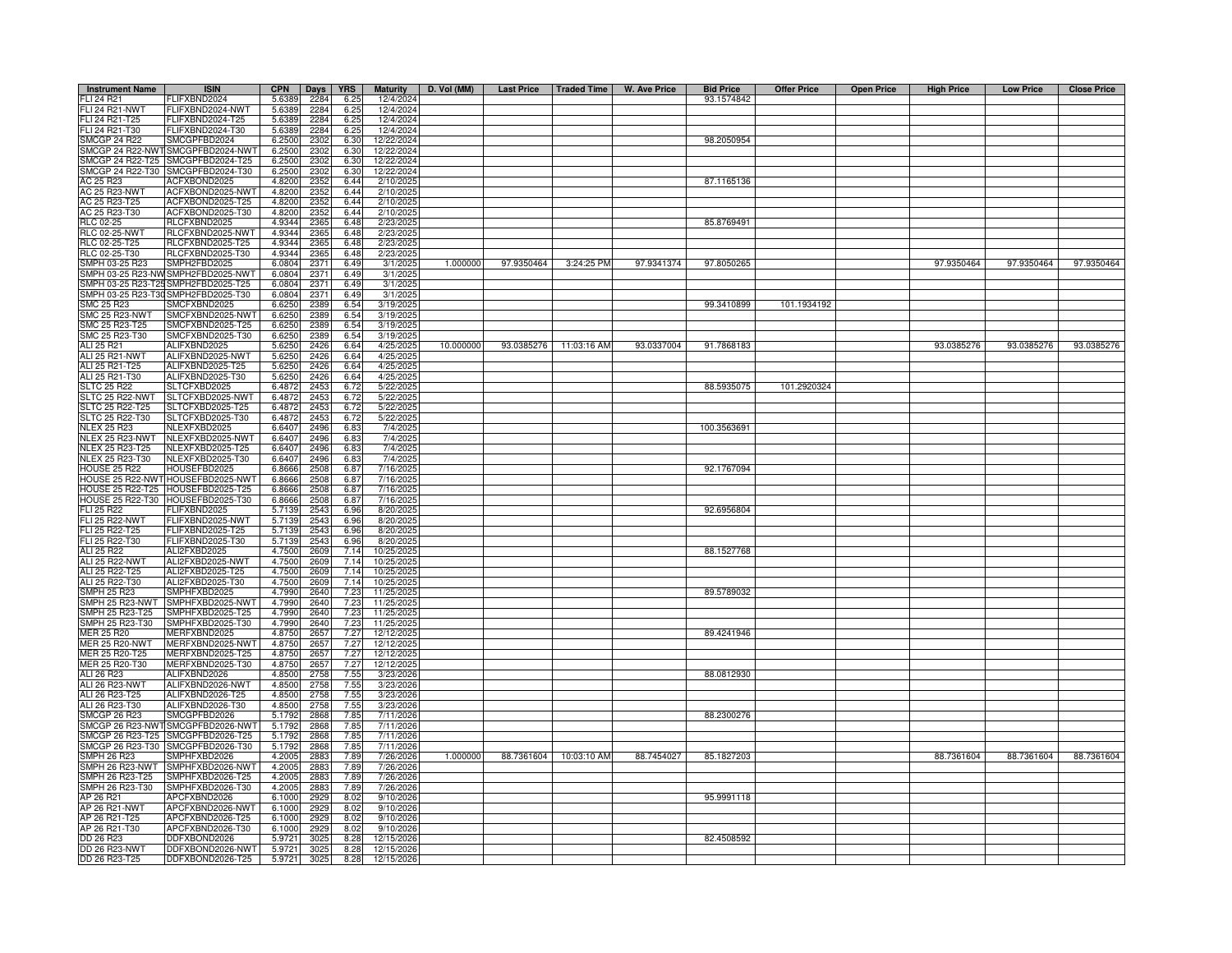| <b>Instrument Name</b>                           | <b>ISIN</b>                          | <b>CPN</b>       | Days         | <b>YRS</b>   | <b>Maturity</b>         | D. Vol (MM) | Last Price   Traded Time |                        | W. Ave Price | <b>Bid Price</b> | <b>Offer Price</b> | <b>Open Price</b> | <b>High Price</b> | <b>Low Price</b> | <b>Close Price</b> |
|--------------------------------------------------|--------------------------------------|------------------|--------------|--------------|-------------------------|-------------|--------------------------|------------------------|--------------|------------------|--------------------|-------------------|-------------------|------------------|--------------------|
| FLI 24 R21                                       | FLIFXBND2024                         | 5.6389           | 2284         | 6.25         | 12/4/2024               |             |                          |                        |              | 93.1574842       |                    |                   |                   |                  |                    |
| <b>FLI 24 R21-NWT</b>                            | FLIFXBND2024-NWT                     | 5.6389           | 2284         | 6.25         | 12/4/2024               |             |                          |                        |              |                  |                    |                   |                   |                  |                    |
| FLI 24 R21-T25                                   | LIFXBND2024-T25                      | 5.6389           | 2284         | 6.25         | 12/4/2024               |             |                          |                        |              |                  |                    |                   |                   |                  |                    |
| FLI 24 R21-T30<br><b>SMCGP 24 R22</b>            | LIFXBND2024-T30<br>SMCGPFBD2024      | 5.6389<br>6.2500 | 2284<br>2302 | 6.25<br>6.30 | 12/4/2024<br>12/22/2024 |             |                          |                        |              | 98.2050954       |                    |                   |                   |                  |                    |
| SMCGP 24 R22-NWT                                 | SMCGPFBD2024-NWT                     | 6.2500           | 2302         | 6.30         | 12/22/2024              |             |                          |                        |              |                  |                    |                   |                   |                  |                    |
| MCGP 24 R22-T25                                  | SMCGPFBD2024-T25                     | 6.2500           | 2302         | 6.30         | 12/22/2024              |             |                          |                        |              |                  |                    |                   |                   |                  |                    |
|                                                  | SMCGP 24 R22-T30 SMCGPFBD2024-T30    | 6.2500           | 2302         | 6.30         | 12/22/2024              |             |                          |                        |              |                  |                    |                   |                   |                  |                    |
| AC 25 R23                                        | ACFXBOND2025                         | 4.8200           | 2352         | 6.44         | 2/10/202                |             |                          |                        |              | 87.1165136       |                    |                   |                   |                  |                    |
| AC 25 R23-NWT                                    | ACFXBOND2025-NWT                     | 4.8200           | 2352         | 6.44         | 2/10/202                |             |                          |                        |              |                  |                    |                   |                   |                  |                    |
| AC 25 R23-T25                                    | ACFXBOND2025-T25                     | 4.8200           | 2352         | 6.44         | 2/10/202                |             |                          |                        |              |                  |                    |                   |                   |                  |                    |
| AC 25 R23-T30<br><b>RLC 02-25</b>                | ACFXBOND2025-T30<br>RLCFXBND2025     | 4.8200<br>4.9344 | 235<br>2365  | 6.44<br>6.48 | 2/10/202<br>2/23/2025   |             |                          |                        |              | 85.8769491       |                    |                   |                   |                  |                    |
| <b>RLC 02-25-NWT</b>                             | RLCFXBND2025-NWT                     | 4.9344           | 2365         | 6.48         | 2/23/2025               |             |                          |                        |              |                  |                    |                   |                   |                  |                    |
| RLC 02-25-T25                                    | RLCFXBND2025-T25                     | 4.9344           | 2365         | 6.48         | 2/23/202                |             |                          |                        |              |                  |                    |                   |                   |                  |                    |
| RLC 02-25-T30                                    | RLCFXBND2025-T30                     | 4.9344           | 2365         | 6.48         | 2/23/202                |             |                          |                        |              |                  |                    |                   |                   |                  |                    |
| SMPH 03-25 R23                                   | SMPH2FBD2025                         | 6.0804           | 2371         | 6.49         | 3/1/202                 | 1.000000    | 97.9350464               | 3:24:25 PM             | 97.9341374   | 97.8050265       |                    |                   | 97.9350464        | 97.9350464       | 97.9350464         |
| MPH 03-25 R23-NW                                 | MPH2FBD2025-NWT                      | 6.0804           | 2371         | 6.49         | 3/1/202                 |             |                          |                        |              |                  |                    |                   |                   |                  |                    |
| MPH 03-25 R23-T25                                | MPH2FBD2025-T25                      | 6.0804           | 2371         | 6.49         | 3/1/202                 |             |                          |                        |              |                  |                    |                   |                   |                  |                    |
| MPH 03-25 R23-T30                                | SMPH2FBD2025-T30                     | 6.0804           | 2371         | 6.49         | 3/1/202                 |             |                          |                        |              |                  |                    |                   |                   |                  |                    |
| <b>SMC 25 R23</b><br><b>SMC 25 R23-NWT</b>       | SMCFXBND2025<br>SMCFXBND2025-NWT     | 6.6250<br>6.6250 | 2389<br>2389 | 6.54<br>6.54 | 3/19/202<br>3/19/202    |             |                          |                        |              | 99.3410899       | 101.1934192        |                   |                   |                  |                    |
| SMC 25 R23-T25                                   | SMCFXBND2025-T25                     | 6.6250           | 2389         | 6.54         | 3/19/202                |             |                          |                        |              |                  |                    |                   |                   |                  |                    |
| SMC 25 R23-T30                                   | SMCFXBND2025-T30                     | 6.6250           | 2389         | 6.54         | 3/19/202                |             |                          |                        |              |                  |                    |                   |                   |                  |                    |
| ALI 25 R21                                       | ALIFXBND2025                         | 5.6250           | 2426         | 6.64         | 4/25/202                | 10.000000   |                          | 93.0385276 11:03:16 AM | 93.0337004   | 91.7868183       |                    |                   | 93.0385276        | 93.0385276       | 93.0385276         |
| ALI 25 R21-NWT                                   | ALIFXBND2025-NWT                     | 5.6250           | 2426         | 6.64         | 4/25/202                |             |                          |                        |              |                  |                    |                   |                   |                  |                    |
| ALI 25 R21-T25                                   | ALIFXBND2025-T25                     | 5.6250           | 2426         | 6.64         | 4/25/202                |             |                          |                        |              |                  |                    |                   |                   |                  |                    |
| ALI 25 R21-T30                                   | ALIFXBND2025-T30                     | 5.6250           | 2426         | 6.64         | 4/25/202                |             |                          |                        |              |                  |                    |                   |                   |                  |                    |
| <b>SLTC 25 R22</b>                               | SLTCFXBD2025                         | 6.4872           | 2453         | 6.72         | 5/22/202                |             |                          |                        |              | 88.5935075       | 101.2920324        |                   |                   |                  |                    |
| <b>SLTC 25 R22-NWT</b><br><b>SLTC 25 R22-T25</b> | LTCFXBD2025-NWT<br>SLTCFXBD2025-T25  | 6.4872<br>6.4872 | 2453<br>2453 | 6.72         | 5/22/202                |             |                          |                        |              |                  |                    |                   |                   |                  |                    |
| LTC 25 R22-T30                                   | SLTCFXBD2025-T30                     | 6.487            | 2453         | 6.72<br>6.72 | 5/22/202<br>5/22/202    |             |                          |                        |              |                  |                    |                   |                   |                  |                    |
| <b>NLEX 25 R23</b>                               | <b>VLEXFXBD2025</b>                  | 6.6407           | 2496         | 6.83         | 7/4/202                 |             |                          |                        |              | 100.3563691      |                    |                   |                   |                  |                    |
| NLEX 25 R23-NWT                                  | NLEXFXBD2025-NWT                     | 6.6407           | 2496         | 6.83         | 7/4/202                 |             |                          |                        |              |                  |                    |                   |                   |                  |                    |
| NLEX 25 R23-T25                                  | JLEXFXBD2025-T25                     | 6.6407           | 2496         | 6.83         | 7/4/202                 |             |                          |                        |              |                  |                    |                   |                   |                  |                    |
| NLEX 25 R23-T30                                  | NLEXFXBD2025-T30                     | 6.6407           | 2496         | 6.83         | 7/4/202                 |             |                          |                        |              |                  |                    |                   |                   |                  |                    |
| <b>HOUSE 25 R22</b>                              | <b>IOUSEFBD2025</b>                  | 6.8666           | 2508         | 6.87         | 7/16/202                |             |                          |                        |              | 92.1767094       |                    |                   |                   |                  |                    |
| HOUSE 25 R22-NWT                                 | HOUSEFBD2025-NWT                     | 6.8666           | 2508         | 6.87         | 7/16/2025               |             |                          |                        |              |                  |                    |                   |                   |                  |                    |
| <b>HOUSE 25 R22-T25</b>                          | HOUSEFBD2025-T25                     | 6.8666           | 2508<br>2508 | 6.87         | 7/16/2025               |             |                          |                        |              |                  |                    |                   |                   |                  |                    |
| <b>HOUSE 25 R22-T30</b><br><b>FLI 25 R22</b>     | HOUSEFBD2025-T30<br>LIFXBND2025      | 6.8666<br>5.7139 | 2543         | 6.87<br>6.96 | 7/16/2025<br>8/20/2025  |             |                          |                        |              | 92.6956804       |                    |                   |                   |                  |                    |
| FLI 25 R22-NWT                                   | FLIFXBND2025-NWT                     | 5.7139           | 2543         | 6.96         | 8/20/202                |             |                          |                        |              |                  |                    |                   |                   |                  |                    |
| FLI 25 R22-T25                                   | LIFXBND2025-T25                      | 5.7139           | 2543         | 6.96         | 8/20/2025               |             |                          |                        |              |                  |                    |                   |                   |                  |                    |
| FLI 25 R22-T30                                   | FLIFXBND2025-T30                     | 5.7139           | 2543         | 6.96         | 8/20/202                |             |                          |                        |              |                  |                    |                   |                   |                  |                    |
| ALI 25 R22                                       | ALI2FXBD2025                         | 4.7500           | 2609         | 7.14         | 10/25/202               |             |                          |                        |              | 88.1527768       |                    |                   |                   |                  |                    |
| <b>ALI 25 R22-NWT</b>                            | ALI2FXBD2025-NWT                     | 4.7500           | 2609         | 7.14         | 10/25/202               |             |                          |                        |              |                  |                    |                   |                   |                  |                    |
| ALI 25 R22-T25                                   | ALI2FXBD2025-T25                     | 4.7500           | 2609         | 7.14         | 10/25/202               |             |                          |                        |              |                  |                    |                   |                   |                  |                    |
| ALI 25 R22-T30<br>SMPH 25 R23                    | ALI2FXBD2025-T30<br>MPHFXBD2025      | 4.7500<br>4.7990 | 2609<br>2640 | 7.14<br>7.23 | 10/25/202<br>11/25/202  |             |                          |                        |              | 89.5789032       |                    |                   |                   |                  |                    |
| SMPH 25 R23-NWT                                  | MPHFXBD2025-NWT                      | 4.7990           | 2640         | 7.23         | 11/25/202               |             |                          |                        |              |                  |                    |                   |                   |                  |                    |
| SMPH 25 R23-T25                                  | MPHFXBD2025-T25                      | 4.7990           | 2640         | 7.23         | 11/25/202               |             |                          |                        |              |                  |                    |                   |                   |                  |                    |
| SMPH 25 R23-T30                                  | MPHFXBD2025-T30                      | 4.7990           | 2640         | 7.23         | 11/25/202               |             |                          |                        |              |                  |                    |                   |                   |                  |                    |
| MER 25 R20                                       | <b>JERFXBND2025</b>                  | 4.8750           | 2657         | 7.27         | 12/12/202               |             |                          |                        |              | 89.4241946       |                    |                   |                   |                  |                    |
| <b>MER 25 R20-NWT</b>                            | MERFXBND2025-NWT                     | 4.8750           | 2657         | 7.27         | 12/12/202               |             |                          |                        |              |                  |                    |                   |                   |                  |                    |
| MER 25 R20-T25                                   | //ERFXBND2025-T25                    | 4.8750           | 2657         | 7.27         | 12/12/202               |             |                          |                        |              |                  |                    |                   |                   |                  |                    |
| MER 25 R20-T30                                   | //ERFXBND2025-T30                    | 4.8750           | 2657         | 7.27         | 12/12/202               |             |                          |                        |              |                  |                    |                   |                   |                  |                    |
| ALI 26 R23                                       | ALIFXBND2026                         | 4.8500<br>4.8500 | 2758         | 7.55         | 3/23/202                |             |                          |                        |              | 88.0812930       |                    |                   |                   |                  |                    |
| ALI 26 R23-NWT<br>ALI 26 R23-T25                 | ALIFXBND2026-NWT<br>ALIFXBND2026-T25 | 4.8500           | 2758<br>2758 | 7.55<br>7.55 | 3/23/2026<br>3/23/2026  |             |                          |                        |              |                  |                    |                   |                   |                  |                    |
| ALI 26 R23-T30                                   | ALIFXBND2026-T30                     | 4.8500           | 2758         | 7.55         | 3/23/2026               |             |                          |                        |              |                  |                    |                   |                   |                  |                    |
| SMCGP 26 R23                                     | SMCGPFBD2026                         | 5.1792           | 2868         | 7.85         | 7/11/2026               |             |                          |                        |              | 88.2300276       |                    |                   |                   |                  |                    |
| SMCGP 26 R23-NWT                                 | SMCGPFBD2026-NWT                     | 5.1792           | 2868         | 7.85         | 7/11/202                |             |                          |                        |              |                  |                    |                   |                   |                  |                    |
|                                                  | MCGP 26 R23-T25 SMCGPFBD2026-T25     | 5.1792           | 2868         | 7.85         | 7/11/2026               |             |                          |                        |              |                  |                    |                   |                   |                  |                    |
|                                                  | MCGP 26 R23-T30 SMCGPFBD2026-T30     | 5.1792           | 2868         | 7.85         | 7/11/2026               |             |                          |                        |              |                  |                    |                   |                   |                  |                    |
| SMPH 26 R23                                      | SMPHFXBD2026                         | 4.2005           | 2883         | 7.89         | 7/26/2026               | 1.000000    |                          | 88.7361604 10:03:10 AM | 88.7454027   | 85.1827203       |                    |                   | 88.7361604        | 88.7361604       | 88.7361604         |
| SMPH 26 R23-NWT                                  | SMPHFXBD2026-NWT                     | 4.2005           | 2883         | 7.89         | 7/26/2026               |             |                          |                        |              |                  |                    |                   |                   |                  |                    |
| SMPH 26 R23-T25<br>MPH 26 R23-T30                | SMPHFXBD2026-T25<br>SMPHFXBD2026-T30 | 4.2005<br>4.2005 | 2883         | 7.89<br>7.89 | 7/26/2026<br>7/26/2026  |             |                          |                        |              |                  |                    |                   |                   |                  |                    |
| AP 26 R21                                        | APCFXBND2026                         | 6.1000           | 2883<br>2929 | 8.02         | 9/10/202                |             |                          |                        |              | 95.9991118       |                    |                   |                   |                  |                    |
| AP 26 R21-NWT                                    | APCFXBND2026-NWT                     | 6.1000           | 2929         | 8.02         | 9/10/2026               |             |                          |                        |              |                  |                    |                   |                   |                  |                    |
| AP 26 R21-T25                                    | APCFXBND2026-T25                     | 6.1000           | 2929         | 8.02         | 9/10/2026               |             |                          |                        |              |                  |                    |                   |                   |                  |                    |
| AP 26 R21-T30                                    | APCFXBND2026-T30                     | 6.1000           | 2929         | 8.02         | 9/10/202                |             |                          |                        |              |                  |                    |                   |                   |                  |                    |
| DD 26 R23                                        | DDFXBOND2026                         | 5.9721           | 3025         | 8.28         | 12/15/202               |             |                          |                        |              | 82.4508592       |                    |                   |                   |                  |                    |
| <b>DD 26 R23-NWT</b>                             | DFXBOND2026-NWT                      | 5.9721           | 3025         | 8.28         | 12/15/202               |             |                          |                        |              |                  |                    |                   |                   |                  |                    |
| DD 26 R23-T25                                    | DDFXBOND2026-T25                     | 5.9721           | 3025         | 8.28         | 12/15/2026              |             |                          |                        |              |                  |                    |                   |                   |                  |                    |